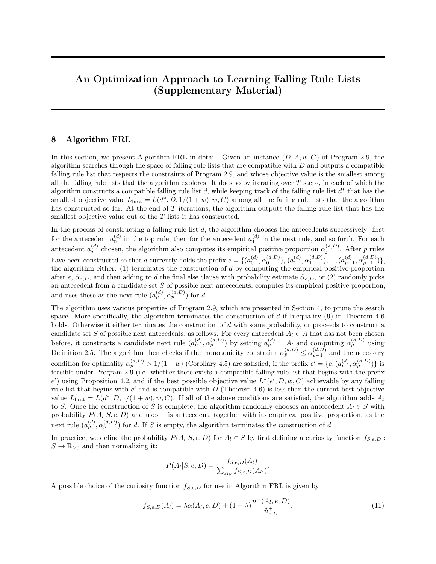# An Optimization Approach to Learning Falling Rule Lists (Supplementary Material)

#### 8 Algorithm FRL

In this section, we present Algorithm FRL in detail. Given an instance  $(D, A, w, C)$  of Program 2.9, the algorithm searches through the space of falling rule lists that are compatible with D and outputs a compatible falling rule list that respects the constraints of Program 2.9, and whose objective value is the smallest among all the falling rule lists that the algorithm explores. It does so by iterating over  $T$  steps, in each of which the algorithm constructs a compatible falling rule list  $d$ , while keeping track of the falling rule list  $d^*$  that has the smallest objective value  $L_{best} = L(d^*, D, 1/(1+w), w, C)$  among all the falling rule lists that the algorithm has constructed so far. At the end of T iterations, the algorithm outputs the falling rule list that has the smallest objective value out of the T lists it has constructed.

In the process of constructing a falling rule list  $d$ , the algorithm chooses the antecedents successively: first for the antecedent  $a_0^{(d)}$  in the top rule, then for the antecedent  $a_1^{(d)}$  in the next rule, and so forth. For each antecedent  $a_j^{(d)}$  chosen, the algorithm also computes its empirical positive proportion  $\alpha_j^{(d,D)}$ . After p rules have been constructed so that d currently holds the prefix  $e = \{ (a_0^{(d)}, \alpha_0^{(d,D)})$ ,  $(a_1^{(d)}, \alpha_1^{(d,D)})$ , ...,  $(a_{p-1}^{(d)}, \alpha_{p-1}^{(d,D)}) \}$ , the algorithm either:  $(1)$  terminates the construction of d by computing the empirical positive proportion after e,  $\tilde{\alpha}_{e,D}$ , and then adding to d the final else clause with probability estimate  $\tilde{\alpha}_{e,D}$ , or (2) randomly picks an antecedent from a candidate set S of possible next antecedents, computes its empirical positive proportion, and uses these as the next rule  $(a_p^{(d)}, a_p^{(d,D)})$  for d.

The algorithm uses various properties of Program 2.9, which are presented in Section 4, to prune the search space. More specifically, the algorithm terminates the construction of  $d$  if Inequality (9) in Theorem 4.6 holds. Otherwise it either terminates the construction of d with some probability, or proceeds to construct a candidate set S of possible next antecedents, as follows. For every antecedent  $A_l \in A$  that has not been chosen before, it constructs a candidate next rule  $(a_p^{(d)}, \alpha_p^{(d,D)})$  by setting  $a_p^{(d)} = A_l$  and computing  $\alpha_p^{(d,D)}$  using Definition 2.5. The algorithm then checks if the monotonicity constraint  $\alpha_p^{(d,D)} \leq \alpha_{p-1}^{(d,D)}$  and the necessary condition for optimality  $\alpha_p^{(d,D)} > 1/(1+w)$  (Corollary 4.5) are satisfied, if the prefix  $e' = \{e, (a_p^{(d)}, \alpha_p^{(d,D)})\}$  is feasible under Program 2.9 (i.e. whether there exists a compatible falling rule list that begins with the prefix  $e'$ ) using Proposition 4.2, and if the best possible objective value  $L^*(e', D, w, C)$  achievable by any falling rule list that begins with  $e'$  and is compatible with  $D$  (Theorem 4.6) is less than the current best objective value  $L_{\text{best}} = L(d^*, D, 1/(1+w), w, C)$ . If all of the above conditions are satisfied, the algorithm adds  $A_l$ to S. Once the construction of S is complete, the algorithm randomly chooses an antecedent  $A_l \in S$  with probability  $P(A_l|S, e, D)$  and uses this antecedent, together with its empirical positive proportion, as the next rule  $(a_p^{(d)}, a_p^{(d,D)})$  for d. If S is empty, the algorithm terminates the construction of d.

In practice, we define the probability  $P(A_l|S, e, D)$  for  $A_l \in S$  by first defining a curiosity function  $f_{S, e, D}$ :  $S \to \mathbb{R}_{\geq 0}$  and then normalizing it:

<span id="page-0-0"></span>
$$
P(A_l|S, e, D) = \frac{f_{S,e,D}(A_l)}{\sum_{A_{l'}} f_{S,e,D}(A_{l'})}.
$$

A possible choice of the curiosity function  $f_{S,e,D}$  for use in Algorithm FRL is given by

$$
f_{S,e,D}(A_l) = \lambda \alpha(A_l, e, D) + (1 - \lambda) \frac{n^+(A_l, e, D)}{\tilde{n}_{e,D}^+},
$$
\n(11)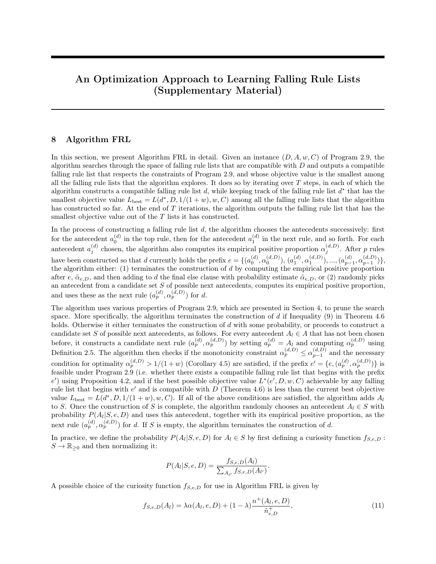where  $\alpha(A_l, e, D)$  is the empirical positive proportion of  $A_l$ , and  $n^+(A_l, e, D)$  is the number of positive training inputs captured by  $A_l$ , should  $A_l$  be chosen as the next antecedent after the prefix e. The curiosity function  $f_{S,e,D}$  given by [\(11\)](#page-0-0) is a weighted sum of  $\alpha(A_l, e, D)$  and  $n^+(A_l, e, D)/\tilde{n}_{e,D}^+$  for each  $A_l \in S$ : the former encourages the algorithm to choose antecedents that have large empirical positive proportions, and the latter encourages the algorithm to choose antecedents that have large positive supports in the training data not captured by e. We used this curiosity function for Algorithm FRL in our experiments.

The pseudocode of Algorithm FRL is shown in Algorithm [1.](#page-1-0)

<span id="page-1-0"></span>Input: an instance  $(D, A, w, C)$  of Program 2.9 Result: a falling rule list  $d^*$  that are compatible with  $D$  and whose antecedents come from  $A$ initialize  $d^* = \emptyset$ ,  $L_{\text{best}} = \infty$ ; for  $t = 1, ..., T$  do set  $p = -1$ ,  $\alpha_p = 1$ ,  $d = e = \emptyset$ ; while Inequality (9) in Theorem 4.6 does not hold do go to Terminate with some probability; set  $p = p + 1$ ,  $S = \emptyset$ ; for every antecedent  $A_l \in A$  that is not in d do set  $a_p^{(d)} = A_l$ , compute  $\alpha_p^{(d,D)}$ , and let  $e' = \{e, (a_p^{(d)}, \alpha_p^{(d,D)})\};$ if  $\alpha_p^{(d,D)} \leq \alpha_{p-1}^{(d,D)}$ ,  $\alpha_p^{(d,D)} > 1/(1+w)$ , and e' is feasible under Program 2.9 then compute  $\hat{L}^*(e', D, w, C)$  using Theorem 4.6; if  $L^*(e', D, w, C) < L(d^*, D, 1/(1+w), w, C)$  then | add  $A_l$  to  $S$ ; end end end if  $S \neq \emptyset$  then choose an antecedent  $A_l \in S$  with probability  $P(A_l|S, e, D)$  according to a discrete probability distribution over S; set  $a_p^{(d)} = A_l$  and add  $(a_p^{(d)}, a_p^{(d,D)})$  to d; set  $e = d$ ;  $\frac{1}{2}$  save the partially constructed list d as the prefix e else go to Terminate end end Terminate: terminate the construction of d, and compute  $L(d, D, 1/(1+w), w, C)$ ; if  $L(d, D, 1/(1 + w), w, C) < L_{best}$  then set  $d^* = d$ ,  $L_{\text{best}} = L(d, D, 1/(1+w), w, C);$ end end Algorithm 1: Algorithm FRL

### 9 Algorithm softFRL

In this section, we present Algorithm softFRL in detail. Given an instance  $(D, A, w, C, C_1)$  of Program 5.1, the algorithm searches through the space of rule lists that are compatible with D and finds a compatible rule list whose antecedents come from A, and whose objective value is the smallest among all the rule lists that the algorithm explores. It does so by iterating over T steps, in each of which the algorithm constructs a compatible rule list  $d$ , while keeping track of the rule list  $d^*$  that has the smallest objective value  $\tilde{L}_{\text{best}} = \tilde{L}(d^*, D, 1/(1+w), w, C, C_1)$  among all the rule lists that the algorithm has constructed so far. At the end of T iterations, the algorithm transforms the rule list  $d^*$  that has the smallest objective value out of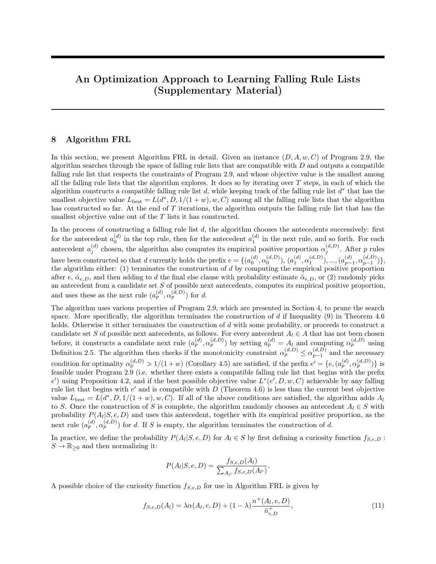the T lists it has constructed, into a falling rule list by setting  $\hat{\alpha}_j^{(d^*)} = \min_{k \leq j} \alpha_k^{(d^*,D)}$  $\binom{a^-,D^+}{k}$ .

In the process of constructing a rule list  $d$ , the algorithm chooses the antecedents successively: first for the antecedent  $a_0^{(d)}$  in the top rule, then for the antecedent  $a_1^{(d)}$  in the next rule, and so forth. For each antecedent  $a_j^{(d)}$  chosen, the algorithm also computes its empirical positive proportion  $\alpha_j^{(d,D)}$ . After p rules have been constructed so that d currently holds the prefix  $e = \{ (a_0^{(d)}, \alpha_0^{(d,D)})$ ,  $(a_1^{(d)}, \alpha_1^{(d,D)})$ , ...,  $(a_{p-1}^{(d)}, \alpha_{p-1}^{(d,D)}) \}$ , the algorithm either:  $(1)$  terminates the construction of d by computing the empirical positive proportion after e,  $\tilde{\alpha}_{e,D}$ , and then adding to d the final else clause with probability estimate  $\tilde{\alpha}_{e,D}$ , or (2) randomly picks an antecedent from a candidate set S of possible next antecedents, computes its empirical positive proportion, and use these as the next rule  $(a_p^{(d)}, \alpha_p^{(d,D)})$  for d.

The algorithm uses Theorem 5.2 to prune the search space. More specifically, the algorithm terminates the construction of d if  $\tilde{L}^*(e, D, w, C, C_1)$  defined by Equation (10) in Theorem 5.2 is equal to  $\tilde{L}(\bar{e}, D, 1/(1+\bar{e})$ w), w, C, C<sub>1</sub>), where  $\bar{e} = \{e, \tilde{\alpha}_{e,D}\}\$ is the compatible rule list in which the prefix e is followed directly by the final else clause. The condition  $\tilde{L}^*(e, D, w, C, C_1) = \tilde{L}(\bar{e}, D, 1/(1+w), w, C, C_1)$  implies that  $\bar{e}$  is an optimal compatible rule list that begins with e. If we have  $\tilde{L}^*(e, D, w, C, C_1) < \tilde{L}(\bar{e}, D, 1/(1+w), w, C, C_1)$  instead, the algorithm either terminates the construction of d with some probability, or it proceeds to construct a candidate set S of possible next antecedents, as follows. For every antecedent  $A_l \in A$  that has not been chosen before, it constructs a candidate next rule  $(a_p^{(d)}, \alpha_p^{(d,D)})$  by setting  $a_p^{(d)} = A_l$  and computing  $\alpha_p^{(d,D)}$  using Definition 2.5. The algorithm then checks if the best possible objective value  $\tilde{L}^*(e', D, w, C, C_1)$  achievable by any rule list that begins with  $e' = \{e, (a_p^{(d)}, \alpha_p^{(d,D)})\}$  and is compatible with D (Theorem 5.2) is less than the current best objective value  $\tilde{L}_{\text{best}} = \tilde{L}(d^*, D, 1/(1+w), w, C, C_1)$ . If so, the algorithm adds  $A_l$ to S. Once the construction of S is complete, the algorithm randomly chooses an antecedent  $A_l \in S$  with probability  $P(A_l|S, e, D)$  and uses this antecedent, together with its empirical positive proportion, as the next rule  $(a_p^{(d)}, a_p^{(d,D)})$  for d. If S is empty, the algorithm terminates the construction of d.

In practice, we define the probability  $P(A_l|S, e, D)$  for  $A_l \in S$  by first defining a curiosity function  $f_{S, e, D}$ :  $S \to \mathbb{R}_{\geq 0}$  and then normalizing it:

<span id="page-2-0"></span>
$$
P(A_l|S, e, D) = \frac{f_{S,e,D}(A_l)}{\sum_{A_{l'}} f_{S,e,D}(A_{l'})}.
$$

A possible choice of the curiosity function  $f_{S,e,D}$  for use in Algorithm softFRL is given by

$$
f_{S,e,D}(A_l) = \lambda \lfloor \min(\alpha(A_l, e, D), \frac{1.01}{0.01} \alpha_{\min}^{(e, D)} - \frac{1}{0.01} \alpha(A_l, e, D)) \rfloor_+ + (1 - \lambda) \frac{n^+(A_l, e, D)}{\tilde{n}_{e, D}^+},\tag{12}
$$

where  $\alpha_{\min}^{(e,D)} = \min_{k < |e|} \alpha_k^{(e,D)}$  $\binom{e, D}{k}$  is the minimum empirical positive proportion of the antecedents in the prefix  $e, \alpha(A_l, e, D)$  is the empirical positive proportion of  $A_l$ , and  $n^+(A_l, e, D)$  is the number of positive training inputs captured by  $A_l$ , should  $A_l$  be chosen as the next antecedent after the prefix e. The curiosity function  $f_{S,e,D}$  given by [\(12\)](#page-2-0) is a weighted sum of  $\left[\min(\alpha(A_l, e, D), (1.01/0.01)\alpha_{|e|-1}^{(e, D)} - (1/0.01)\alpha(A_l, e, D))\right]_+$  and  $n^+(A_l, e, D)/\tilde{n}_{e, D}^+$  for each  $A_l \in S$ : the former encourages the algorithm to choose antecedents that have large empirical positive proportions but do not violate the monotonicity constraint  $\alpha(A_l, e, D) \leq \alpha_{\min}^{(e, D)}$ min by more than 1%, and the latter encourages the algorithm to choose antecedents that have large positive supports in the training data not captured by  $e$ . We used this curiosity function for Algorithm softFRL in our experiments.

The pseudocode of Algorithm softFRL is shown in Algorithm [2.](#page-3-0)

### 10 Proofs of Theorem 2.8, Proposition 4.2, Lemma 4.4, Corollary 4.5, and Theorem 4.6

Theorem 2.8. Given the training data  $D$ , a rule list  $d$  that is compatible with  $D$ , and the weight  $w$  for the positive class, we have

$$
R(d, D, 1/(1+w), w) \le R(d, D, \tau, w)
$$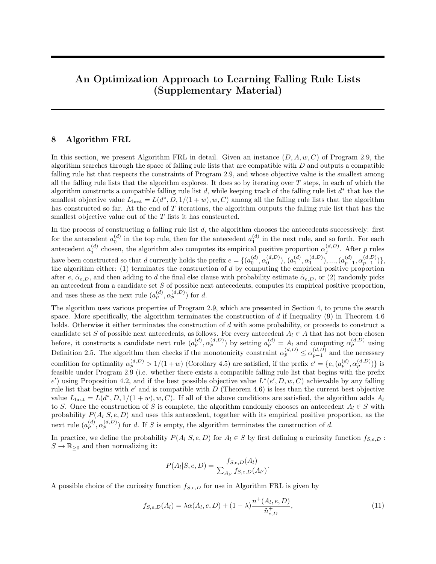```
Input: an instance (D, A, w, C, C_1) of Program 5.1
Result: a falling rule list d^* whose antecedents come from Ainitialize d^* = \emptyset, \tilde{L}_{\text{best}} = \infty;
for t = 1, ..., T do
    set p = -1, \, \alpha_p = 1, \, d = e = \emptyset;while \tilde{L}^*(e,D,w,C,C_1)<\tilde{L}(\bar{e},D,1/(1+w),w,C,C_1) do
        go to Terminate with some probability;
        set p = p + 1, S = \emptyset;
        for every antecedent A_l \in A that is not in d do
             set a_p^{(d)} = A_l, compute \alpha_p^{(d,D)}, and let e' = \{e, (a_p^{(d)}, \alpha_p^{(d,D)})\};compute \tilde{L}^*(e', D, w, C, C_1) using Theorem 5.2;
             if \tilde{L}^*(e', D, w, C, C_1) < \tilde{L}(d^*, D, 1/(1+w), w, C, C_1) then
              | add A_l to S;
             end
        end
        if S \neq \emptyset then
             choose an antecedent A_l \in S with probability P(A_l|S, e, D) according to a discrete
              probability distribution over S;
             set a_p^{(d)} = A_l and add (a_p^{(d)}, \alpha_p^{(d,D)}) to d;
             set e = d;
            \frac{1}{2} save the partially constructed list d as the prefix e
        else
         go to Terminate
        end
    end
    Terminate: terminate the construction of d, and compute \tilde{L}(d, D, 1/(1+w), w, C, C_1);if \tilde{L}(d, D, 1/(1+w), w, C, C_1) < \tilde{L}_{\text{best}} then
         set d^* = d, \tilde{L}_{\text{best}} = \tilde{L}(d, D, 1/(1+w), w, C, C_1);end
end
transform d^* into a falling rule list by setting \hat{\alpha}_j^{(d^*)} = \min_{k \leq j} \alpha_k^{(d^*,D)}\binom{(a^-,D)}{k};
                                           Algorithm 2: Algorithm softFRL
```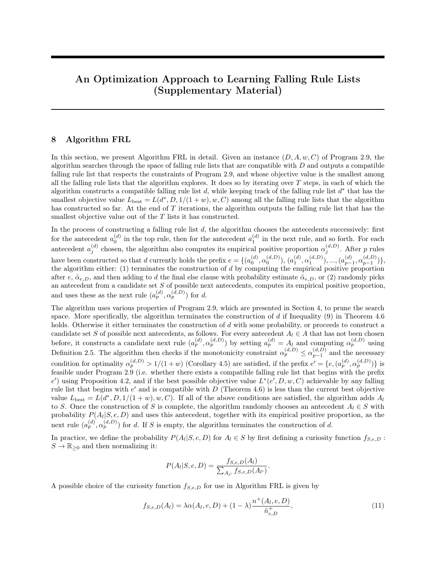for all  $\tau \geq 0$ .

Proof. Suppose  $\tau > 1/(1+w)$ . Consider the j-th rule  $(a_j^{(d)}, \alpha_j^{(d,D)})$  in d, whose antecedent captures  $\alpha_j^{(d,D)}n_{j,d,D}$  positive training inputs and  $(1-\alpha_j^{(d,D)})n_{j,d,D}$  negative training inputs. Let  $R_j(d,D,\tau,w)$  denote the contribution by the j-th rule to  $R(d, D, \tau, w)$ , i.e.

<span id="page-4-0"></span>
$$
R_j(d, D, \tau, w) = \frac{1}{n} \left( w \sum_{\substack{i:y_i=1 \land \\ \text{capt}(\mathbf{x}_i, d)=j}} [\alpha_j^{(d, D)} \le \tau] + \sum_{\substack{i:y_i=-1 \land \\ \text{capt}(\mathbf{x}_i, d)=j}} [\alpha_j^{(d, D)} > \tau] \right) = \begin{cases} \frac{1}{n} n_{j,d,D}^- & \text{if } \alpha_j^{(d, D)} > \tau \\ \frac{w}{n} n_{j,d,D}^+ & \text{otherwise.} \end{cases} \tag{13}
$$

Case 1.  $1/(1+w) < \alpha_j^{(d,D)} \leq \tau$ . In this case, we have

$$
R_j(d, D, 1/(1+w), w) = \frac{1}{n} n_{j,d,D}^-
$$
 (by the definition of  $R_j$  in Equation (13))  
\n
$$
= \frac{1}{n} (n_{j,d,D} - n_{j,d,D}^+)
$$
 (by the definition of  $n_{j,d,D}^+, n_{j,d,D}^-$  in Definition 2.5)  
\n
$$
= \frac{1}{n} (n_{j,d,D} - \alpha_j^{(d,D)} n_{j,d,D})
$$
 (by the definition of  $\alpha_j^{(d,D)}$  in Definition 2.5)  
\n
$$
= \frac{1}{n} (1 - \alpha_j^{(d,D)}) n_{j,d,D}
$$
  
\n
$$
< \frac{1}{n} \left(1 - \frac{1}{1+w}\right) n_{j,d,D}
$$
  
\n
$$
= \frac{w}{n} \frac{1}{1+w} n_{j,d,D}
$$
  
\n
$$
< \frac{w}{n} \alpha_j^{(d,D)} n_{j,d,D}
$$
  
\n
$$
= \frac{w}{n} n_{j,d,D}^+,
$$
 (by the definition of  $\alpha_j^{(d,D)}$  in Definition 2.5)  
\n
$$
= R_j(d, D, \tau, w).
$$
 (by the definition of  $R_j$  in Equation (13))

Case 2.  $\alpha_j^{(d,D)} > \tau$ . In this case, both  $R_j(d, D, 1/(1+w), w)$  and  $R_j(d, D, \tau, w)$  are equal to  $\frac{1}{n} n_{j,d,D}^-(d, D, \tau, w)$ . Case 3.  $\alpha_j^{(d,D)} \le 1/(1+w)$ . In this case, both  $R_j(d, D, 1/(1+w), w)$  and  $R_j(d, D, \tau, w)$  are equal to  $\frac{w}{n} n_{j,d,D}^+$ . Hence, given  $\tau > 1/(1+w)$ , we have

$$
R(d, D, 1/(1+w), w) = \sum_{j=0}^{|d|} R_j(d, D, 1/(1+w), w) \le \sum_{j=0}^{|d|} R_j(d, D, \tau, w) = R(d, D, \tau, w).
$$

 $\Box$ 

The proof for  $R(d, D, 1/(1+w), w) \leq R(d, D, \tau, w)$  given  $\tau < 1/(1+w)$  is similar.

Proposition 4.2. Given the training data  $D$ , the set of antecedents  $A$ , and a prefix  $e$  that is compatible with D and satisfies  $a_j^{(e)} \in A$  for all  $j \in \{0, 1, ..., |\mathcal{e}|-1\}$  and  $\alpha_{k-1}^{(e,D)} \geq \alpha_k^{(e,D)}$  $f_k^{(e,D)}$  for all  $k \in \{1, 2, ..., |e|-1\}$ , the following statements are equivalent: (1) e is feasible for Program 2.9 under D and A; (2)  $\tilde{\alpha}_{e,D} \leq \alpha_{|e|-1}^{(e,D)}$  $\big|_{e|-1}^{(e,D)}$  holds; (3)  $\tilde{n}_{e,D}^- \ge ((1/\alpha_{|e|-1}^{(e,D)}) - 1)\tilde{n}_{e,D}^+$  holds.

*Proof.* (1)  $\Rightarrow$  (3): Suppose that Statement (1) holds. Then there exists a falling rule list

$$
d = \{e, (a_{|e|}^{(d)}, \alpha_{|e|}^{(d,D)}), ..., (a_{|d|-1}^{(d)}, \alpha_{|d|-1}^{(d,D)}), \alpha_{|d|}^{(d,D)}\}
$$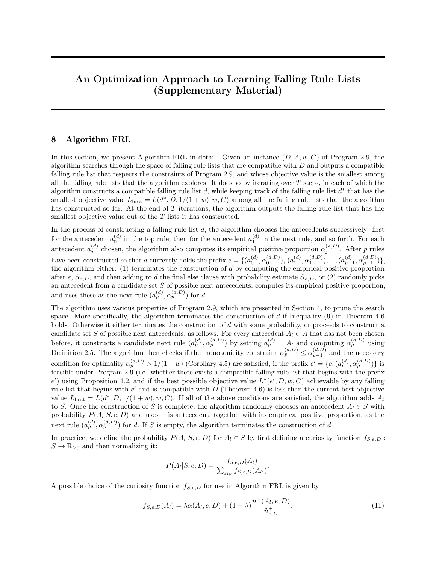that is compatible with  $D$ , and we have

$$
\tilde{n}_{e,D}^{-} = \tilde{n}_{e,D} - \tilde{n}_{e,D}^{+}
$$
\n
$$
= n_{|e|,d,D} + \dots + n_{|d|,d,D} - \tilde{n}_{e,D}^{+}
$$
\n
$$
= \frac{1}{\alpha_{|e|}^{(d,D)}} n_{|e|,d,D}^{+} + \dots + \frac{1}{\alpha_{|d|}^{(d,D)}} n_{|d|,d,D}^{+} - \tilde{n}_{e,D}^{+} \qquad \text{(by Definition 2.5)}
$$
\n
$$
\geq \frac{1}{\alpha_{|e|-1}^{(d,D)}} n_{|e|,d,D}^{+} + \dots + \frac{1}{\alpha_{|e|-1}^{(d,D)}} n_{|d|,d,D}^{+} - \tilde{n}_{e,D}^{+} \qquad \text{(by the monotonicity constraint)}
$$
\n
$$
= \frac{1}{\alpha_{|e|-1}^{(d,D)}} (n_{|e|,d,D}^{+} + \dots + n_{|d|,d,D}^{+}) - \tilde{n}_{e,D}^{+}
$$
\n
$$
= \frac{1}{\alpha_{|e|-1}^{(d,D)}} \tilde{n}_{e,D}^{+} - \tilde{n}_{e,D}^{+}
$$
\n
$$
= ((1/\alpha_{|e|-1}^{(d,D)}) - 1)\tilde{n}_{e,D}^{+}
$$
\n
$$
= ((1/\alpha_{|e|-1}^{(e,D)}) - 1)\tilde{n}_{e,D}^{+}.
$$

 $(3) \Rightarrow (2)$ : Suppose that Statement (3) holds. Then we have

$$
\tilde{\alpha}_{e,D} = \frac{\tilde{n}_{e,D}^+}{\tilde{n}_{e,D}^-} \quad \text{(by Definition 2.5)}
$$
\n
$$
= \frac{\tilde{n}_{e,D}^+}{\tilde{n}_{e,D}^+ + \tilde{n}_{e,D}^-}
$$
\n
$$
\leq \frac{\tilde{n}_{e,D}^+}{\tilde{n}_{e,D}^+ + ((1/\alpha_{|e|-1}^{(d,D)}) - 1)\tilde{n}_{e,D}^+} \quad \text{(by Statement (3))}
$$
\n
$$
= \frac{\tilde{n}_{e,D}^+}{(1 + (1/\alpha_{|e|-1}^{(d,D)}) - 1)\tilde{n}_{e,D}^+} = \alpha_{|e|-1}^{(d,D)}.
$$

 $(2) \Rightarrow (1)$ : Suppose that Statement (2) holds. Then the falling rule list  $d = \{e, \tilde{\alpha}_{e,D}\}$  begins with e and is compatible with  $D$ . By Definition 4.1,  $e$  is feasible for Program 2.9 under the training data  $D$ .  $\Box$ 

Before we proceed with proving Lemma 4.4, we make the following observation.

Observation 10.1 For any rule list

$$
d' = \{e, (a_{|e|}^{(d')}, \hat{\alpha}_{|e|}^{(d')}), ..., (a_{|d'|-1}^{(d')}, \hat{\alpha}_{|d'|-1}^{(d')}), \hat{\alpha}_{|d'|}^{(d')}\}
$$

that begins with a given prefix  $e$ , we have

<span id="page-5-0"></span>
$$
\tilde{n}_{e,D}^+ = n_{|e|,d',D}^+ + \dots + n_{|d'|,d',D}^+, \tag{14}
$$

$$
\tilde{n}_{e,D}^- = n_{|e|,d',D}^- + \dots n_{|d'|,d',D}^-,\tag{15}
$$

<span id="page-5-2"></span><span id="page-5-1"></span>and

$$
\tilde{n}_{e,D} = n_{|e|,d',D} + ...n_{|d'|,d',D}.\tag{16}
$$

Proof. Any positive training input  $\mathbf{x}_i$  that is not captured by the prefix e must be captured by some antecedent  $a_j^{(d')}$  with  $|e| \leq j < |d'|$  in d', or the final else clause in d'. Conversely, any positive training input  $\mathbf{x}_i$  that is captured by some antecedent  $a_j^{(d')}$  with  $|e| \leq j < |d'|$  in d', or the final else clause in d', must not satisfy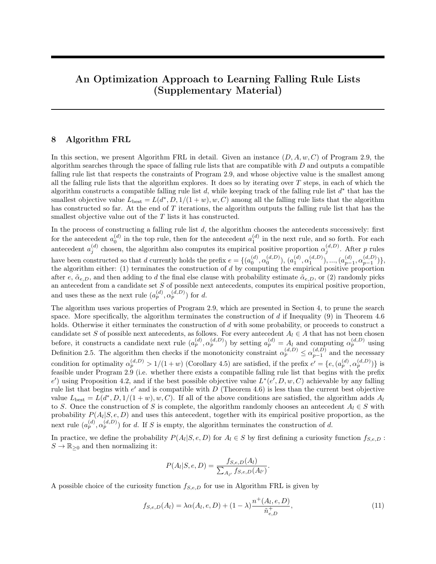any antecedent in the prefix  $e$  and is consequently not captured by the prefix  $e$ . This means that the set of positive training inputs that are not captured by  $e$  is exactly the set of positive training inputs that are captured by some antecedent  $a_j^{(d')}$  with  $|e| \leq j < |d'|$  in d', or the final else clause in d'. It then follows that these two sets have the same number of elements. The former set has  $\tilde{n}_{e,D}^+$  number of elements, and the latter has  $n_{|e|,d',D}^+ \dots + n_{|d'|,d',D}^+$  number of elements. This establishes Equation [\(14\)](#page-5-0).

We can establish Equations [\(15\)](#page-5-1) and [\(16\)](#page-5-2) using essentially the same argument.

We now prove Lemma 4.4.

Lemma 4.4. Suppose that we are given an instance  $(D, A, w, C)$  of Program 2.9, a prefix e that is feasible for Program 2.9 under the training data  $D$  and the set of antecedents  $A$ , and a (possibly hypothetical) falling rule list d that begins with e and is compatible with  $D$ . Then there exists a falling rule list  $d'$ , possibly hypothetical with respect to  $A$ , such that  $d'$  begins with  $e$ , has at most one more rule (excluding the final else clause) following  $e$ , is compatible with  $D$ , and satisfies

$$
L(d', D, 1/(1+w), w, C) \le L(d, D, 1/(1+w), w, C).
$$

Moreover, if either  $\alpha_j^{(d,D)} > 1/(1+w)$  holds for all  $j \in \{|e|, |e|+1, ..., |d|\}$ , or  $\alpha_j^{(d,D)} \le 1/(1+w)$  holds for all  $j \in \{ |e|, |e| + 1, ..., |d| \}$ , then the falling rule list  $\bar{e} = \{ e, \tilde{\alpha}_{e,D} \}$  (i.e. the falling rule list in which the final else clause immediately follows the prefix e, and the probability estimate of the final else clause is  $\tilde{\alpha}_{e,D}$  is compatible with D and satisfies  $L(\bar{e}, D, 1/(1+w), w, C) \leq L(d, D, 1/(1+w), w, C)$ .

*Proof.* Case 1. There exists some  $k \in \{|e|+1, ..., |d|\}$  that satisfies  $\alpha_{k-1}^{(d,D)} > 1/(1+w)$  but  $\alpha_k^{(d,D)} \le 1/(1+w)$ . For any  $j \in \{|e|, ..., k-1\}$ , we have  $\alpha_j^{(d,D)} > 1/(1+w)$ , and the contribution  $R_j(d, D, 1/(1+w), w)$  by the j-th rule to  $R(d, D, 1/(1+w), w)$ , defined by Equation [\(13\)](#page-4-0) with  $\tau = 1/(1+w)$ , is given by

$$
R_j(d, D, 1/(1+w), w) = \frac{1}{n} n_{j,d,D}^-.
$$
\n(17)

For any  $j \in \{k, ..., |d|\}$ , we have  $\alpha_j^{(d, D)} \le 1/(1 + w)$ , and the contribution  $R_j(d, D, 1/(1 + w), w)$  by the j-th rule to  $R(d, D, 1/(1 + w), w)$  is given by

<span id="page-6-2"></span>
$$
R_j(d, D, 1/(1+w), w) = \frac{w}{n} n_{j,d,D}^+.
$$
\n(18)

The rest of the proof for this case proceeds in three steps.

Step 1. Construct a hypothetical falling rule list  $d'$  that begins with  $e$ , has exactly one more rule (excluding the final else clause) following  $e$ , and is compatible with  $D$ . In later steps, we shall show that the falling rule list d' constructed in this step satisfies  $L(d', D, 1/(1+w), w, C) \leq L(d, D, 1/(1+w), w, C)$ .

Let  $d' = \{e, (a_{|e|}^{(d')})\}$  $\overset{(d')}{\vert e \vert}, \overset{\hat{\alpha}\left(d'\right)}{\vert e \vert}$  $\hat{a}^{(d')}_{|e|}$ ,  $\hat{a}^{(d')}_{|e|+1}$  be the falling rule list of size  $|d'| = |e| + 1$  that is compatible with D, such that  $\overline{\phantom{a}}$ 

<span id="page-6-0"></span>
$$
a_{|e|}^{(d')} = a_{|e|}^{(d)} \vee \dots \vee a_{k-1}^{(d)}
$$

is the antecedent given by the logical or's of the antecedents  $a_{l_{el}}^{(d)}$  $\binom{d}{|e|}$  through  $a_{k-}^{(d)}$  $\binom{a}{k-1}$  in d.

Step 2. Show that the empirical risk of misclassification by the falling rule list  $d'$  is the same as that by the falling rule list d.

To see this, we observe that the training instances captured by  $a_{\parallel e}^{(d')}$  $\binom{d'}{|e|}$  in d' are exactly those captured by the antecedents  $a_{\parallel e \parallel}^{(d)}$  $\binom{d}{|e|}$  through  $a_{k-}^{(d)}$  $\binom{d}{k-1}$  in d, and the training instances captured by  $a_{|e|+1}^{(d')}$  (i.e. the final else clause) in d' are exactly those captured by the antecedents  $a_k^{(d)}$  $\binom{d}{k}$  through  $a_{|d|}^{(d)}$  $\begin{bmatrix} a \\ d \end{bmatrix}$  in d. This observation implies

$$
n_{|e|,d',D}^+ = n_{|e|,d,D}^+ + \dots + n_{k-1,d,D}^+, \tag{19}
$$

<span id="page-6-1"></span> $\Box$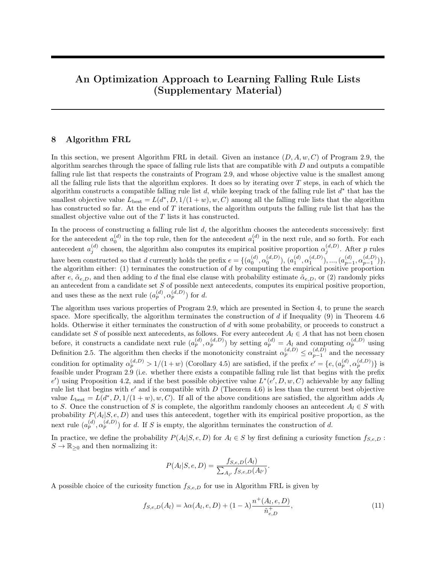$$
n_{|e|,d',D}^- = n_{|e|,d,D}^- + \dots + n_{k-1,d,D}^-,
$$
\n(20)

$$
n_{|e|,d',D} = n_{|e|,d,D} + \dots + n_{k-1,d,D},\tag{21}
$$

$$
n_{|e|+1,d',D}^+ = n_{k,d,D}^+ + \dots + n_{|d|,d,D}^+, \tag{22}
$$

<span id="page-7-3"></span><span id="page-7-2"></span><span id="page-7-1"></span><span id="page-7-0"></span>and

$$
n_{|e|+1,d',D} = n_{k,d,D} + \dots + n_{|d|,d,D}.\tag{23}
$$

Since  $d'$  is compatible with  $D$ , using the definition of a compatible rule list in Definition 2.6 and the definition of the empirical positive proportion in Definition 2.5, together with [\(19\)](#page-6-0), [\(21\)](#page-7-0), [\(22\)](#page-7-1), and [\(23\)](#page-7-2), we must have

 $\ddot{\phantom{0}}$ 

$$
\hat{\alpha}_{|e|}^{(d')} = \alpha_{|e|}^{(d',D)} = \frac{n_{|e|,d',D}^+}{n_{|e|,d',D}} = \frac{n_{|e|,d,D}^+ + \dots + n_{k-1,d,D}^+}{n_{|e|,d,D} + \dots + n_{k-1,d,D}} = \frac{\alpha_{|e|}^{(d,D)} n_{|e|,d,D} + \dots + \alpha_{k-1}^{(d,D)} n_{k-1,d,D}}{n_{|e|,d,D} + \dots + n_{k-1,d,D}} > \frac{1}{1+w},
$$

and

$$
\hat{\alpha}_{|e|+1}^{(d')} = \alpha_{|e|+1}^{(d',D)} = \frac{n_{|e|+1,d',D}^+}{n_{|e|+1,d',D}} = \frac{n_{k,d,D}^+ + \dots + n_{|d|,d,D}^+}{n_{k,d,D} + \dots + n_{|d|,d,D}} = \frac{\alpha_k^{(d,D)} n_{k,d,D} + \dots + \alpha_{|d|}^{(d,D)} n_{|d|,d,D}}{n_{k,d,D} + \dots + n_{|d|,d,D}} \le \frac{1}{1+w}.
$$

This means that the contribution  $R_{|e|}(d', D, 1/(1+w), w)$  by the  $|e|$ -th rule to  $R(d', D, 1/(1+w), w)$  is given by

$$
R_{|e|}(d', D, 1/(1+w), w) = \frac{1}{n} n_{|e|, d', D}^{-} = \frac{1}{n} (n_{|e|, d, D}^{-} + ... + n_{k-1, d, D}^{-}),
$$

where we have used [\(20\)](#page-7-3), and the contribution  $R_{|e|+1}(d', D, 1/(1+w), w)$  by the  $(|e|+1)$ -st "rule" (i.e. the final else clause) to  $R(d', D, 1/(1 + w), w)$  is given by

$$
R_{|e|+1}(d',D,1/(1+w),w)=\frac{w}{n}n^+_{|e|+1,d',D}=\frac{w}{n}(n^+_{k,d,D}+\ldots+n^+_{|d|,d,D}),
$$

where we have used  $(22)$ .

It then follows that the empirical risk of misclassification by the rule list  $d'$  is the same as that by the rule list d:

<span id="page-7-4"></span>
$$
R(d', D, 1/(1+w), w)
$$
  
=  $R(e, D, 1/(1+w), w) + R_{|e|}(d', D, 1/(1+w), w) + R_{|e|+1}(d', D, 1/(1+w), w)$   
=  $R(e, D, 1/(1+w), w) + \frac{1}{n}(n_{|e|, d,D}^{\top} + ... + n_{k-1,d,D}^{\top}) + \frac{w}{n}(n_{k,d,D}^{\top} + ... + n_{|d|,d,D}^{\top})$   
=  $R(e, D, 1/(1+w), w) + \sum_{j=|e|}^{|d|} R_j(d, D, 1/(1+w), w)$   
=  $R(d, D, 1/(1+w), w).$  (24)

Step 3. Put everything together.

Using [\(24\)](#page-7-4), together with the observation  $|d'| = |e| + 1 \leq |d|$ , we must also have

$$
L(d', D, 1/(1+w), w, C) = R(d', D, 1/(1+w), w) + C|d'|
$$
  
\n
$$
\leq R(d, D, 1/(1+w), w) + C|d| = L(d, D, 1/(1+w), w, C),
$$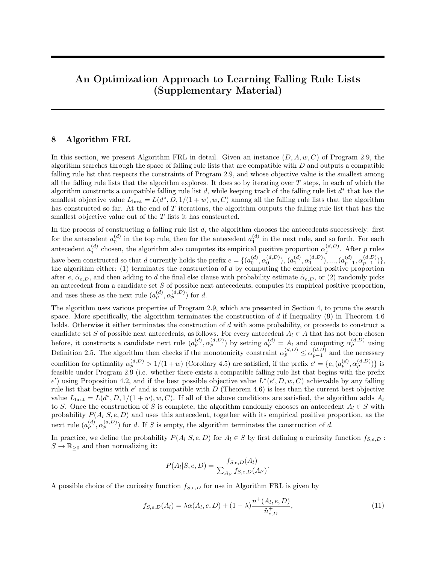as desired.

Case 2.  $\alpha_j^{(d,D)} > 1/(1+w)$  holds for all  $j \in \{|e|, |e|+1, ..., |d|\}$ . Then the contribution  $R_j(d, D, 1/(1+w), w)$ by the j-th rule to  $R(d, D, 1/(1+w), w)$ , for all  $j \in \{ |e|, |e|+1, ..., |d| \}$ , is given by Equation [\(17\)](#page-6-1). Let  $d' = \{e, \hat{\alpha}_{|e|}^{(d')}$  $\binom{d'}{|e|}$  be the falling rule list of size  $|d'| = |e|$  that is compatible with D. Then the instances captured by  $a_{|e|}^{(d')}$  $\binom{d'}{|e|}$  (i.e. the final else clause) in d' are exactly those that are not captured by e, or equivalently, those that are captured by  $a_{\parallel e \parallel}^{(d)}$  $\binom{d}{|e|}$  through  $a_{|d|}^{(d)}$  $\binom{a}{|d|}$ . This implies

<span id="page-8-0"></span>
$$
n_{|e|,d',D}^+ = n_{|e|,d,D}^+ + \dots + n_{|d|,d,D}^+, \tag{25}
$$

$$
n_{|e|,d',D}^- = n_{|e|,d,D}^- + \dots + n_{|d|,d,D}^-,\tag{26}
$$

<span id="page-8-4"></span><span id="page-8-1"></span>and

$$
n_{|e|,d',D} = n_{|e|,d,D} + \dots + n_{|d|,d,D}.\tag{27}
$$

Since  $d'$  is compatible with  $D$ , using the definition of a compatible rule list in Definition 2.6 and the definition of the empirical positive proportion in Definition 2.5, together with [\(25\)](#page-8-0) and [\(27\)](#page-8-1), we must have

$$
\hat{\alpha}_{|e|}^{(d')} = \alpha_{|e|}^{(d',D)} = \frac{n_{|e|,d',D}^+}{n_{|e|,d',D}} \n= \frac{n_{|e|,d,D}^+ \cdots + n_{|d|,d,D}^+}{n_{|e|,d,D} + \cdots + n_{|d|,d,D}} \n= \frac{(d,D)}{(d,D)}.
$$
\n(28)

<span id="page-8-3"></span><span id="page-8-2"></span>
$$
= \frac{\alpha_{|e|}^{(a,D)} n_{|e|,d,D} + \dots + \alpha_{|d|}^{(a,D)} n_{|d|,d,D}}{n_{|e|,d,D} + \dots + n_{|d|,d,D}} > \frac{1}{1+w}.
$$
\n(29)

Note that the right-hand side of Equality [\(28\)](#page-8-2) is equal to  $\tilde{n}_{e,D}^+/\tilde{n}_{e,D} = \tilde{\alpha}_{e,D}$ , by Equations [\(14\)](#page-5-0) and [\(16\)](#page-5-2) in Observation 10.1. Therefore, we also have  $\hat{\alpha}_{|e|}^{(d')} = \tilde{\alpha}_{e,D}$ .

Inequality [\(29\)](#page-8-3) implies that the contribution  $R_{|e|}(d', D, 1/(1+w), w)$  by the  $|e|$ -th "rule" (i.e. the final else clause) to  $R(d', D, 1/(1 + w), w)$  is given by

$$
R_{|e|}(d', D, 1/(1+w), w) = \frac{1}{n} n_{|e|, d', D}^{-} = \frac{1}{n} (n_{|e|, d, D}^{-} + ... + n_{|d|, d, D}^{-}),
$$

where we have used [\(26\)](#page-8-4).

It then follows that the empirical risk of misclassification by the rule list  $d'$  is the same as that by the rule list d:

$$
R(d', D, 1/(1+w), w)
$$
  
= R(e, D, 1/(1+w), w) + R<sub>|e|</sub>(d', D, 1/(1+w), w)  
= R(e, D, 1/(1+w), w) +  $\frac{1}{n} (n_{|e|, d,D}^- + ... + n_{|d|, d,D}^-)$   
= R(e, D, 1/(1+w), w) +  $\sum_{j=|e|}^{|d|} R_j(d, D, 1/(1+w), w)$   
= R(d, D, 1/(1+w), w).

Since we clearly have  $|d'| = |e| \leq |d|$ , we must also have

$$
L(d', D, 1/(1+w), w, C) = R(d', D, 1/(1+w), w) + C|d'|
$$
  
\n
$$
\leq R(d, D, 1/(1+w), w) + C|d| = L(d, D, 1/(1+w), w, C),
$$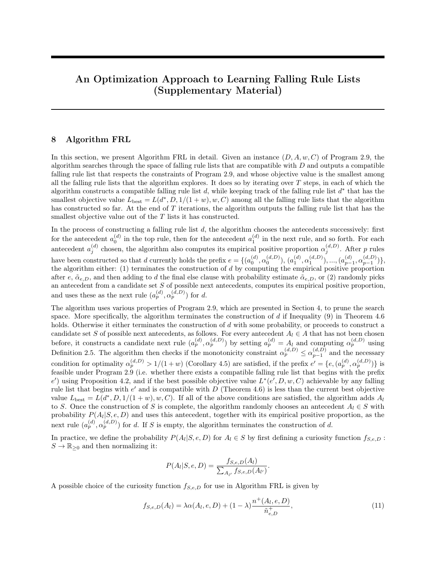as desired.

Case 3.  $\alpha_j^{(d,D)} \le 1/(1+w)$  holds for all  $j \in \{|e|, |e|+1, ..., |d|\}$ . The proof is similar to Case 2, with  $R_j(d, D, 1/(1+w), w)$  for all  $j \in \{|e|, |e|+1, ..., |d|\}$  given by Equation [\(18\)](#page-6-2), the "greater than" in Inequality [29](#page-8-3) replaced by "less than or equal to", and  $R_{|e|}(d', D, 1/(1+w), w)$  given by

$$
R_{|e|}(d', D, 1/(1+w), w) = \frac{w}{n} n_{|e|, d', D}^{+} = \frac{w}{n} (n_{|e|, d, D}^{+} + \dots + n_{|d|, d, D}^{+}).
$$

Corollary 4.5. If  $d^*$  is an optimal solution for a given instance  $(D, A, w, C)$  of Program 2.9, then we must have  $\alpha_j^{(d^*,D)} > 1/(1+w)$  for all  $j \in \{0,1,...,|d^*|-1\}.$ 

Proof. Suppose that  $d^*$  were an optimal solution for a given instance  $(D, A, w, C)$  of Program 2.9, such that  $\alpha_k^{(d^*,D)} \leq 1/(1+w)$  form some  $k \in \{0,1,...,|d^*|-1\}$ . Let

$$
e = \{(a_0^{(d^*)}, \alpha_0^{(d^*,D)}), ..., (a_{k-1}^{(d^*,}, \alpha_{k-1}^{(d^*,D)})\}
$$

be a prefix consisting of the top k rules in  $d^*$ . By Lemma 4.4, the falling rule list  $\bar{e} = \{e, \tilde{\alpha}_{e,D}\}$  satisfies  $L(\bar{e}, D, 1/(1+w), w, C) \leq L(d^*, D, 1/(1+w), w, C)$ . In fact, the inequality is strict because the size of  $\bar{e}$  is strictly less than that of  $d^*$ . This contradicts the optimality of  $d^*$ .  $\Box$ 

Before we proceed with proving Theorem 4.6, we make two other observations.

Observation 10.2. For any rule list  $d'$ , we have

<span id="page-9-3"></span>
$$
n_{|e|,d',D}^- = \left(\frac{1}{\alpha_{|e|}^{(d',D)}} - 1\right) n_{|e|,d',D}^+, \tag{30}
$$

.

Proof. By Definition 2.5, we have

$$
\alpha_{|e|}^{(d',D)} = n_{|e|,d',D}^+ / n_{|e|,d',D}.
$$

Since  $n_{|e|, d', D}$  denotes the total number of training inputs captured by the  $|e|$ -th antecedent in d', which is exactly the sum of the number of positive training inputs captured by that antecedent (denoted  $n_{[e],d',D}^+$ ), and the number of negative training inputs captured by the same antecedent (denoted  $n_{|e|,d',D}^-$ ), we have

$$
\alpha_{|e|}^{(d',D)} = \frac{n_{|e|,d',D}^+}{n_{|e|,d',D}^+ + n_{|e|,d',D}^-}
$$

The desired equation follows from rearranging the terms.

Observation 10.3. For any rule list

$$
d' = \{e, (a_{|e|}^{(d')}, \hat{\alpha}_{|e|}^{(d')}), \hat{\alpha}_{|e|+1}^{(d')}\}
$$

<span id="page-9-1"></span>that has exactly one rule (excluding the final else clause) following a given prefix  $e$ , we have

$$
n_{|e|+1,d',D}^{+} = \tilde{n}_{e,D}^{+} - n_{|e|,d',D}^{+},
$$
\n(31)

$$
n_{|e|+1,d',D}^{-} = \tilde{n}_{e,D}^{-} - n_{|e|,d',D}^{-} \tag{32}
$$

<span id="page-9-2"></span>and

$$
n_{|e|+1,d',D} = \tilde{n}_{e,D} - n_{|e|,d',D}.\tag{33}
$$

Note that since  $n_{|e|+1,d',D}^+$ ,  $n_{|e|+1,d',D}^-$ , and  $n_{|e|+1,d',D}$  are non-negative, Equations (63), (64), and (65) imply  $n^+_{|e|,d',D} \leq \tilde{n}^+_{e,D}, n^-_{|e|,d',D} \leq \tilde{n}^-_{e,D}, \text{ and } n_{|e|,d',D} \leq \tilde{n}_{e,D}.$ 

<span id="page-9-0"></span> $\Box$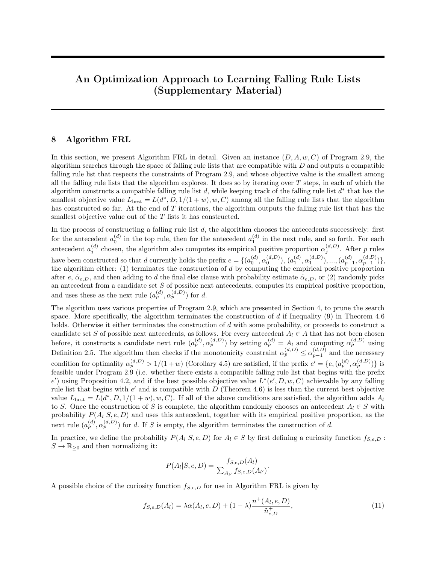*Proof.* Applying Observation 10.1 with  $|d'| = |e| + 1$ , we have

$$
\tilde{n}_{e,D}^+ = n_{|e|,d',D}^+ + n_{|e|+1,d',D}^+,
$$
\n
$$
\tilde{n}_{e,D}^- = n_{|e|,d',D}^- + n_{|e|+1,d',D}^-
$$

and

$$
\tilde{n}_{e,D} = n_{|e|,d',D} + n_{|e|+1,d',D}.
$$

Equations [\(31\)](#page-9-0), [\(32\)](#page-9-1), and [\(33\)](#page-9-2) follow from rearranging the terms in the above equations.

We now prove Theorem 4.6.

Theorem 4.6. Suppose that we are given an instance  $(D, A, w, C)$  of Program 2.9 and a prefix e that is feasible for Program 2.9 under the training data D and the set of antecedents A. Then any falling rule list d that begins with  $e$  and is compatible with  $D$  satisfies

$$
L(d, D, 1/(1+w), w, C) \ge L^*(e, D, w, C),
$$

where

$$
L^*(e, D, w, C) = L(e, D, 1/(1+w), w, C) + \min\left(\frac{1}{n}\left(\frac{1}{\alpha_{|e|-1}^{(e, D)}} - 1\right)\tilde{n}_{e, D}^+ + C, \frac{w}{n}\tilde{n}_{e, D}^+, \frac{1}{n}\tilde{n}_{e, D}^-, \right)
$$

is a lower bound on the objective value of any compatible falling rule list that begins with e, which we call a prefix bound for e, under the instance  $(D, A, w, C)$  of Program 2.9. Furthermore, if

$$
C \ge \min\left(\frac{w}{n}\tilde{n}_{e,D}^+, \frac{1}{n}\tilde{n}_{e,D}^-\right) - \frac{1}{n}\left(\frac{1}{\alpha_{|e|-1}^{(e,D)}} - 1\right)\tilde{n}_{e,D}^+\tag{34}
$$

holds, then the falling rule list  $\bar{e} = \{e, \tilde{\alpha}_{e,D}\}\$  satisfies  $L(\bar{e}, D, 1/(1+w), w, C) = L^*(e, D, w, C)$ .

*Proof.* Let  $\mathcal{F}(\mathcal{X}, D, e)$  be the set of (hypothetical and non-hypothetical) falling rule lists that begin with e and are compatible with D, and let  $\mathcal{F}(\mathcal{X}, D, e, k)$  be the subset of  $\mathcal{F}(\mathcal{X}, D, e)$ , consisting of those falling rule lists in  $\mathcal{F}(\mathcal{X}, D, e)$  that have exactly k rules (excluding the final else clause) following the prefix e.

Let  $d \in \mathcal{F}(\mathcal{X}, D, e)$ .

Case 1. 
$$
\alpha_{|e|-1}^{(e,D)} > 1/(1+w)
$$
.

In this case, Lemma 4.4 implies

<span id="page-10-0"></span>
$$
L(d, D, 1/(1+w), w, C) \ge \inf_{d' \in \mathcal{F}(\mathcal{X}, D, e, 1) \cup \mathcal{F}(\mathcal{X}, D, e, 0)} L(d', D, 1/(1+w), w, C).
$$
 (35)

Note that we have  $\mathcal{F}(\mathcal{X}, D, e, 0) = \{\bar{e}\},$  where  $\bar{e} = \{e, \tilde{\alpha}_{e,D}\}$  is the falling rule list in which the final else clause immediately follows the prefix e, and the probability estimate of the final else clause is  $\tilde{\alpha}_{e,D}$ . To see this, we first observe  $\bar{e} \in \mathcal{F}(\mathcal{X}, D, e, 0)$ . This is because:

(i)  $\bar{e}$  clearly begins with e, and has no additional rules (excluding the final else clause) following the prefix e; (ii) the feasibility of  $e$  implies  $\alpha_{k-1}^{(e,D)} \geq \alpha_k^{(e,D)}$  $\binom{e, D}{k}$  for all  $k \in \{1, 2, ..., |e|-1\}$  (otherwise we could not possibly have a falling rule list that begins with e, and we would violate Definition 4.1), and  $\tilde{\alpha}_{e,D} \leq \alpha_{|e|-1}^{(e,D)}$  $\binom{e,D}{|e|-1}$  (by Proposition 4.2), which together imply that  $\bar{e}$  is indeed a falling rule list; and (iii) we have

$$
(\text{m}) \text{ we have}
$$

$$
\tilde{\alpha}_{e,D} = \frac{\tilde{n}_{e,D}^+}{\tilde{n}_{e,D}} \quad \text{(by the definition of } \tilde{\alpha}_{e,D} \text{ in Definition 2.5)}
$$
\n
$$
= \frac{n_{|\bar{e}|,\bar{e},D}^+}{n_{|\bar{e}|,\bar{e},D}} \quad \text{(by Equations (14) and (16) in Observation 10.1, applied to } \bar{e})
$$
\n
$$
= \alpha_{|\bar{e}|}^{(\bar{e},D)}, \quad \text{(by the definition of the empirical positive proportion in Definition 2.5)}
$$

<span id="page-10-1"></span> $\Box$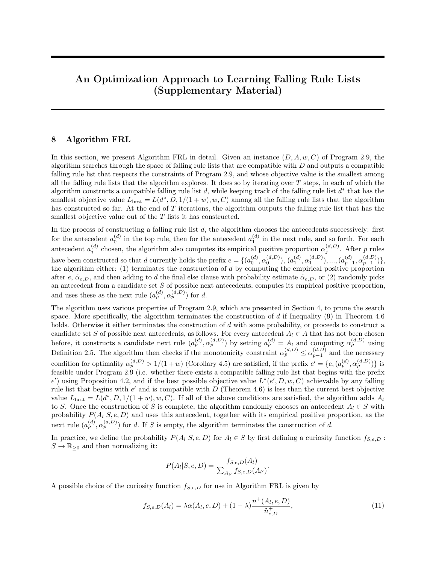which implies that  $\bar{e}$  is indeed compatible with D.

Conversely, for any  $d_0 = \{e, \hat{\alpha}_{|e|}^{(d_0)}\}$  $\{e^{(a_0)}|e|}\in \mathcal{F}(\mathcal{X}, D, e, 0)$ , we must have

$$
\hat{\alpha}_{|e|}^{(d_0)} = \alpha_{|e|}^{(d_0, D)}
$$
 (because  $d_0$  must be compatible with  $D$ )\n
$$
= \frac{n_{|e|, d_0, D}^+}{n_{|e|, d_0, D}}
$$
 (by the definition of the empirical positive proportion in Definition 2.5)\n
$$
= \frac{\tilde{n}_{e, D}^+}{\tilde{n}_{e, D}}
$$
 (by Equations (14) and (16) in Observation 10.1, applied to  $d_0$  here)\n
$$
= \tilde{\alpha}_{e, D},
$$

which implies  $d_0 = \overline{e}$ . This establishes  $\mathcal{F}(\mathcal{X}, D, e, 0) = {\overline{e}}$ . Let  $\mathcal{F}'(\mathcal{X}, D, e, 1)$  be the subset of  $\mathcal{F}(\mathcal{X}, D, e, 1)$ , consisting of those falling rule lists

<span id="page-11-0"></span>
$$
d' = \{e, (a^{(d')}_{|e|}, \alpha^{(d',D)}_{|e|}), \alpha^{(d',D)}_{|e|+1}\} \in \mathcal{F}(\mathcal{X}, D, e, 1)
$$

with  $\alpha_{|e|}^{(d',D)} > 1/(1+w)$  and  $\alpha_{|e|+1}^{(d',D)} \leq 1/(1+w)$ . Note that for any  $d_1 = \{e, (\alpha_{|e|}^{(d_1)})$  $\frac{(d_1)}{|e|},\alpha\frac{(d_1,D)}{|e|}$  $\binom{(d_1,D)}{|e|}, \alpha \binom{(d_1,D)}{|e|+1} \in$  $\mathcal{F}(\mathcal{X}, D, e, 1) - \mathcal{F}'(\mathcal{X}, D, e, 1)$ , we have either  $\alpha_{|e|}^{(d_1, D)} \ge \alpha_{|e|+1}^{(d_1, D)} > 1/(1+w)$  or  $\alpha_{|e|+1}^{(d_1, D)} \le \alpha_{|e|}^{(d_1, D)} \le 1/(1+w)$ , and Lemma 4.4 implies  $L(d_1, D, 1/(1+w), w, C) \ge L(\bar{e}, D, 1/(1+w), w, C)$ . This means

$$
\inf_{d' \in \mathcal{F}(\mathcal{X}, D, e, 1) - \mathcal{F}'(\mathcal{X}, D, e, 1)} L(d', D, 1/(1+w), w, C) \ge L(\bar{e}, D, 1/(1+w), w, C). \tag{36}
$$

Using  $\mathcal{F}(\mathcal{X}, D, e, 0) = \{\bar{e}\}\$ and [\(36\)](#page-11-0), we can write the right-hand side of [\(35\)](#page-10-0) as

$$
\inf_{d' \in \mathcal{F}(\mathcal{X}, D, e, 1) \cup \mathcal{F}(\mathcal{X}, D, e, 0)} L(d', D, 1/(1+w), w, C)
$$
\n
$$
= \inf_{d' \in \mathcal{F}'(\mathcal{X}, D, e, 1) \cup (\mathcal{F}(\mathcal{X}, D, e, 1) - \mathcal{F}'(\mathcal{X}, D, e, 1)) \cup \{\bar{e}\}} L(d', D, 1/(1+w), w, C)
$$
\n
$$
= \min \left( \inf_{d' \in \mathcal{F}'(\mathcal{X}, D, e, 1)} L(d', D, 1/(1+w), w, C),
$$
\n
$$
\inf_{d' \in \mathcal{F}(\mathcal{X}, D, e, 1) - \mathcal{F}'(\mathcal{X}, D, e, 1)} L(d', D, 1/(1+w), w, C), L(\bar{e}, D, 1/(1+w), w, C) \right)
$$
\n
$$
= \min \left( \inf_{d' \in \mathcal{F}'(\mathcal{X}, D, e, 1)} L(d', D, 1/(1+w), w, C), L(\bar{e}, D, 1/(1+w), w, C) \right). \tag{37}
$$

The rest of the proof for this case proceeds in three steps.

Step 1. Compute  $L(\bar{e}, D, 1/(1+w), w, C)$ .

Since the contribution by the final else clause to  $L(\bar{e}, D, 1/(1+w), w, C)$  is given by

<span id="page-11-1"></span>
$$
R_{|e|}(\bar{e}, D, 1/(1+w), w) = \begin{cases} \frac{1}{n} n_{|e|, \bar{e}, D}^{-} & \text{if } \tilde{\alpha}_{e, D} > 1/(1+w) \\ \frac{w}{n} n_{|e|, \bar{e}, D}^{+} & \text{otherwise,} \end{cases}
$$

where we have used Equation [\(13\)](#page-4-0), and since Observation 10.1 implies  $\tilde{n}_{e,D}^+ = n_{|e|,\bar{e},D}^+$  and  $\tilde{n}_{e,D}^- = n_{|e|,\bar{e},D}^-$ , it is not difficult to see

$$
L(\bar{e}, D, 1/(1+w), w, C) = \begin{cases} L(e, D, 1/(1+w), w, C) + \frac{1}{n} \tilde{n}_{e, D}^{-} & \text{if } \tilde{\alpha}_{e, D} > 1/(1+w) \\ L(e, D, 1/(1+w), w, C) + \frac{w}{n} \tilde{n}_{e, D}^{+} & \text{otherwise.} \end{cases}
$$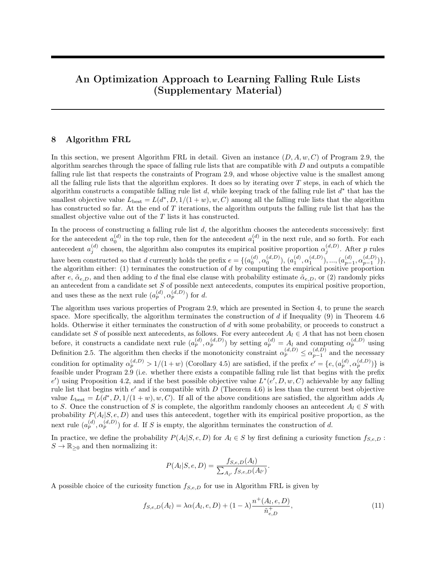Since  $\tilde{\alpha}_{e,D} > 1/(1+w)$  is equivalent to  $\tilde{n}_{e,D}^+ / (\tilde{n}_{e,D}^+ + \tilde{n}_{e,D}^-) > 1/(1+w)$ , or  $w\tilde{n}_{e,D}^+ > \tilde{n}_{e,D}^-$ , and similarly  $\tilde{\alpha}_{e,D} \le 1/(1+w)$  is equivalent to  $w\tilde{n}_{e,D}^+ \le \tilde{n}_{e,D}^-$ , we can write

<span id="page-12-2"></span>
$$
L(\bar{e}, D, 1/(1+w), w, C) = \min\left(L(e, D, 1/(1+w), w, C) + \frac{1}{n}\tilde{n}_{e, D}^{-},
$$
  

$$
L(e, D, 1/(1+w), w, C) + \frac{w}{n}\tilde{n}_{e, D}^{+}\right).
$$
 (38)

Step 2. Determine a lower bound of  $L(d', D, 1/(1+w), w, C)$  for all  $d' \in \mathcal{F}'(\mathcal{X}, D, e, 1)$ .

Let  $d' = \{e, (a_{|e|}^{(d')})\}$  $\frac{(d')}{|e|}, \alpha_{|e|}^{(d',D)}$  $\{a',D\}_{|e|}$ ,  $\alpha_{|e|+1}^{(d',D)}\}\in\mathcal{F}'(\mathcal{X},D,e,1)$ . Since the contribution by both the  $|e|$ -th rule and the final else clause to  $L(d', D, 1/(1+w), w, C)$  is given by  $R_{|e|}(d', D, 1/(1+w), w) + R_{|e|+1}(d', D, 1/(1+w), w) + C$ , where  $R_{|e|}(d', D, 1/(1+w), w)$  and  $R_{|e|+1}(d', D, 1/(1+w), w)$  are defined by Equation [\(13\)](#page-4-0) and are given by

$$
R_{|e|}(d', D, 1/(1+w), w) = \frac{1}{n} n_{|e|, d', D}^- \quad \text{and} \quad R_{|e|+1}(d', D, 1/(1+w), w) = \frac{w}{n} n_{|e|+1, d', D}^+
$$

(because we have  $\alpha_{|e|}^{(d',D)} > 1/(1+w)$  and  $\alpha_{|e|+1}^{(d',D)} \leq 1/(1+w)$  for  $d' \in \mathcal{F}'(\mathcal{X}, D, e, 1)$ ), it is not difficult to see

<span id="page-12-0"></span>
$$
L(d', D, 1/(1+w), w, C) = L(e, D, 1/(1+w), w, C) + \frac{1}{n} n_{|e|, d', D}^{-} + \frac{w}{n} n_{|e|+1, d', D}^{+} + C.
$$
 (39)

Substituting [\(30\)](#page-9-3) in Observation 10.2 and [\(31\)](#page-9-0) in Observation 10.3 into Equation [\(39\)](#page-12-0), we have

$$
L(d', D, 1/(1+w), w, C)
$$
  
=  $L(e, D, 1/(1+w), w, C) + \frac{1}{n} \left( \frac{1}{\alpha_{|e|}^{(d', D)}} - 1 \right) n_{|e|, d', D}^+ + \frac{w}{n} (\tilde{n}_{e, D}^+ - n_{|e|, d', D}^+) + C$   
=  $L(e, D, 1/(1+w), w, C) + \frac{1}{n} \left( \left( \frac{1}{\alpha_{|e|}^{(d', D)}} - 1 - w \right) n_{|e|, d', D}^+ + w \tilde{n}_{e, D}^+ \right) + C.$  (40)

Note that Equation [\(40\)](#page-12-1) shows that given the prefix e,  $L(d', D, 1/(1+w), w, C)$  is a function of  $\alpha_{l_{el}}^{(d', D)}$  $\binom{a}{|e|}$  and of  $n^{\dagger}_{|e|,d',D}$ . Since we have

<span id="page-12-1"></span>
$$
\frac{\partial L(d', D, 1/(1+w), w, C)}{\partial n_{|e|, d', D}^+} = \frac{1}{n} \left( \frac{1}{\alpha_{|e|}^{(d', D)}} - 1 - w \right) < 0
$$

because  $\alpha_{|e|}^{(d',D)} > 1/(1+w)$  holds for any  $d' \in \mathcal{F}'(\mathcal{X}, D, e, 1)$ , and

$$
\frac{\partial L(d', D, 1/(1+w), w, C)}{\partial \alpha_{|e|}^{(d', D)}} = -\frac{n_{|e|, d', D}^+}{n} \frac{1}{(\alpha_{|e|}^{(d', D)})^2} \le 0,
$$

we see that  $L(d', D, 1/(1+w), w, C)$  is indeed a monotonically decreasing function of both  $n_{|e|, d', D}^+$  and  $\alpha_{|e|}^{(d',D)}$  $\binom{d',D}{|e|}$ . Thus, we can obtain a lower bound of  $L(d', D, 1/(1+w), w, C)$  by substituting  $n_{|e|, d', D}^+$  and  $\alpha_{|e|}^{(d', D)}$  $|e|$ with their respective upper bound. The inequality  $n_{|e|, d', D}^+ \leq \tilde{n}_{e, D}^+$  in Observation 10.3 gives an upper bound for  $n^+_{|e|,d',D}$ , and the inequality  $\alpha^{(d',D)}_{|e|} \leq \alpha^{(d',D)}_{|e|-1} = \alpha^{(e,D)}_{|e|-1}$  $\binom{e,D}{|e|-1}$  from d' being a falling rule list gives an upper bound for  $\alpha_{|e|}^{(d',D)}$  $\binom{a}{|e|}$ . Substituting these upper bounds into [\(40\)](#page-12-1), we obtain the following inequality, which gives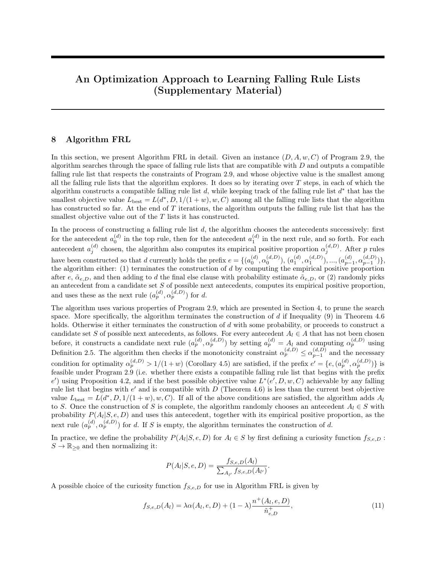a lower bound of  $L(d', D, 1/(1 + w), w, C)$ :

$$
L(d', D, 1/(1+w), w, C)
$$
  
\n
$$
\geq L(e, D, 1/(1+w), w, C) + \frac{1}{n} \left( \left( \frac{1}{\alpha_{|e|-1}^{(e, D)}} - 1 - w \right) \tilde{n}_{e, D}^+ + w\tilde{n}_{e, D}^+ \right) + C
$$
  
\n
$$
= L(e, D, 1/(1+w), w, C) + \frac{1}{n} \left( \left( \frac{1}{\alpha_{|e|-1}^{(e, D)}} - 1 \right) \tilde{n}_{e, D}^+ \right) + C.
$$

This means

<span id="page-13-0"></span>
$$
\inf_{d' \in \mathcal{F}'(\mathcal{X}, D, e, 1)} L(d', D, 1/(1+w), w, C) \ge L(e, D, 1/(1+w), w, C) + \frac{1}{n} \left( \left( \frac{1}{\alpha_{|e|-1}^{(e, D)}} - 1 \right) \tilde{n}_{e, D}^+ \right) + C. \tag{41}
$$

Step 3. Put everything together.

Using [\(35\)](#page-10-0), [\(37\)](#page-11-1), [\(38\)](#page-12-2), and [\(41\)](#page-13-0), we have

$$
L(d, D, 1/(1+w), w, C)
$$
  
\n
$$
\geq \min \left( \inf_{d' \in \mathcal{F}'(\mathcal{X}, D, e, 1)} L(d', D, 1/(1+w), w, C), L(\bar{e}, D, 1/(1+w), w, C) \right)
$$
  
\n
$$
\geq \min \left( L(e, D, 1/(1+w), w, C) + \frac{1}{n} \left( \left( \frac{1}{\alpha_{|e|-1}^{(e, D)}} - 1 \right) \tilde{n}_{e, D}^+ \right) + C,
$$
  
\n
$$
\min \left( L(e, D, 1/(1+w), w, C) + \frac{1}{n} \tilde{n}_{e, D}^-, L(e, D, 1/(1+w), w, C) + \frac{w}{n} \tilde{n}_{e, D}^+ \right) \right)
$$
  
\n
$$
= L(e, D, 1/(1+w), w, C) + \min \left( \frac{1}{n} \left( \left( \frac{1}{\alpha_{|e|-1}^{(e, D)}} - 1 \right) \tilde{n}_{e, D}^+ \right) + C, \frac{w}{n} \tilde{n}_{e, D}^+, \frac{1}{n} \tilde{n}_{e, D}^-, \right),
$$

as desired.

Case 2.  $\alpha_{|e|-1}^{(e,D)} \leq 1/(1+w)$ . This implies  $\alpha_j^{(d,D)} \leq 1/(1+w)$  for all  $j \in \{ |e|, ..., |d| \}$ . By Lemma 4.4, we have

<span id="page-13-2"></span>
$$
L(d,D,1/(1+w),w,C) \ge L(\bar{e},D,1/(1+w),w,C).
$$

Since  $L(\bar{e}, D, 1/(1+w), w, C)$  is given by Equation [\(38\)](#page-12-2), we have

$$
L(d, D, 1/(1+w), w, C) \ge L(e, D, 1/(1+w), w, C) + \min\left(\frac{w}{n}\tilde{n}_{e, D}^+, \frac{1}{n}\tilde{n}_{e, D}^-\right). \tag{42}
$$

Given  $\alpha_{|e|-1}^{(e,D)} \leq 1/(1+w)$ , we must also have

$$
\frac{1}{n} \left( \left( \frac{1}{\alpha^{(d',D)}_{|e|-1}} - 1 \right) \tilde{n}_{e,D}^+ \right) + C \ge \frac{w}{n} \tilde{n}_{e,D}^+ + C \ge \frac{w}{n} \tilde{n}_{e,D}^+,
$$

which means

<span id="page-13-1"></span>
$$
\min\left(\frac{w}{n}\tilde{n}_{e,D}^+, \frac{1}{n}\tilde{n}_{e,D}^-\right) = \min\left(\frac{1}{n}\left(\left(\frac{1}{\alpha_{|e|-1}^{(d',D)}} - 1\right)\tilde{n}_{e,D}^+\right) + C, \frac{w}{n}\tilde{n}_{e,D}^+, \frac{1}{n}\tilde{n}_{e,D}^-\right). \tag{43}
$$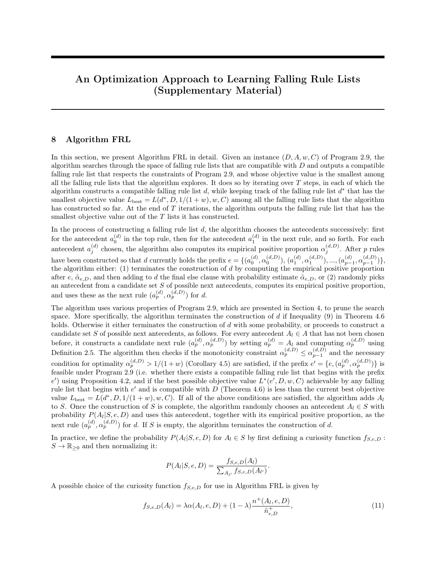Substituting [\(43\)](#page-13-1) into [\(42\)](#page-13-2) completes the proof for Case 2.

Finally, if Inequality [\(34\)](#page-10-1) holds, then we have

$$
\frac{1}{n} \left( \left( \frac{1}{\alpha^{(d',D)}_{|e|-1}} - 1 \right) \tilde{n}_{e,D}^+ \right) + C \ge \min \left( \frac{w}{n} \tilde{n}_{e,D}^+, \frac{1}{n} \tilde{n}_{e,D}^- \right),
$$

which implies

$$
L^*(e, D, w, C) = L(e, D, 1/(1+w), w, C) + \min\left(\frac{w}{n}\tilde{n}_{e,D}^+, \frac{1}{n}\tilde{n}_{e,D}^-\right) = L(\bar{e}, D, 1/(1+w), w, C).
$$

 $\Box$ 

#### 11 Proof of Theorem 5.2

Theorem 5.2. Suppose that we are given an instance  $(D, A, w, C, C_1)$  of Program 5.1 and a prefix e that is compatible with  $D$ . Then any rule list  $d$  that begins with  $e$  and is compatible with  $D$  satisfies

$$
\tilde{L}(d, D, 1/(1+w), w, C, C_1) \ge \tilde{L}^*(e, D, w, C, C_1),
$$

<span id="page-14-0"></span>where

L˜∗

$$
\tilde{L}^*(e, D, w, C, C_1) = \tilde{L}(e, D, 1/(1+w), w, C, C_1)
$$
\n
$$
+ \min \left( \frac{1}{n} \left( \frac{1}{\alpha_{\min}^{(e, D)}} - 1 \right) \tilde{n}_{e, D}^+ + C + C_1 \left[ \tilde{\alpha}_{e, D} - \alpha_{\min}^{(e, D)} \right]_{+} + \frac{w}{n} \tilde{n}_{e, D}^+ \left[ \tilde{\alpha}_{e, D} \ge \alpha_{\min}^{(e, D)} \right],
$$
\n
$$
\inf_{\beta: \zeta < \beta \le 1} g(\beta), \frac{w}{n} \tilde{n}_{e, D}^+ + C_1 \left[ \tilde{\alpha}_{e, D} - \alpha_{\min}^{(e, D)} \right]_{+}, \frac{1}{n} \tilde{n}_{e, D}^- + C_1 \left[ \tilde{\alpha}_{e, D} - \alpha_{\min}^{(e, D)} \right]_{+} \right) \tag{44}
$$

is a lower bound on the objective value of any compatible rule list that begins with  $e$ , under the instance  $(D, A, w, C, C_1)$  of Program 5.1. In Equation [\(44\)](#page-14-0),  $\alpha_{\min}^{(e, D)}$ ,  $\zeta$ , and g are defined by

$$
\alpha_{\min}^{(e,D)} = \min_{k < |e|} \alpha_k^{(e,D)}, \quad \zeta = \max(\alpha_{\min}^{(e,D)}, \tilde{\alpha}_{e,D}, 1/(1+w)),
$$
\n
$$
g(\beta) = \frac{1}{n} \left(\frac{1}{\beta} - 1\right) \tilde{n}_{e,D}^+ + C + C_1(\beta - \alpha_{\min}^{(e,D)}).
$$

Note that  $\inf_{\beta:\zeta<\beta\leq 1} g(\beta)$  can be computed analytically:  $\inf_{\beta:\zeta<\beta\leq 1} g(\beta) = g(\beta^*)$  if  $\beta^* = \sqrt{\tilde{n}_{e,D}^+/(C_1n)}$ satisfies  $\zeta < \beta^* \leq 1$ , and  $\inf_{\beta: \zeta < \beta \leq 1} g(\beta) = \min(g(\zeta), g(1))$  otherwise.

To prove Theorem 5.2, we need the following lemma:

Lemma. Suppose that we are given an instance  $(D, A, w, C, C_1)$  of Program 5.1, a prefix e that is compatible with D, and a (possibly hypothetical) rule list d that begins with e and is compatible with D. Then there exists a rule list  $d'$ , possibly hypothetical with respect to A, such that  $d'$  begins with  $e$ , has at most one more rule (excluding the final else clause) following  $e$ , is compatible with  $D$ , and satisfies

<span id="page-14-1"></span>
$$
\tilde{L}(d', D, 1/(1+w), w, C, C_1) \le \tilde{L}(d, D, 1/(1+w), w, C, C_1). \tag{45}
$$

Moreover, if either  $\alpha_j^{(d,D)} > 1/(1+w)$  holds for all  $j \in \{|e|, |e|+1, ..., |d|\}$ , or  $\alpha_j^{(d,D)} \le 1/(1+w)$  holds for all  $j \in \{|e|, |e|+1, ..., |d|\}$ , then the rule list  $\bar{e} = \{e, \tilde{\alpha}_{e,D}\}$  (i.e. the rule list in which the final else clause follows immediately the prefix e, and the probability estimate of the final else clause is  $\tilde{\alpha}_{e,D}$ ) is compatible with D and satisfies  $\tilde{L}(\bar{e}, D, 1/(1+w), w, C, C_1) \leq \tilde{L}(d, D, 1/(1+w), w, C).$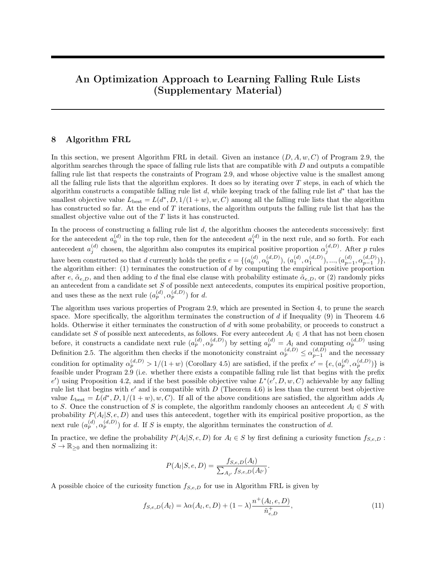*Proof.* Case 1. There exists some  $k \in \{|e|, ..., |d|\}$  that satisfies  $\alpha_k^{(d,D)} > 1/(1+w)$  and some  $k' \in \{|e|, ..., |d|\}$ that satisfies  $\alpha_{k'}^{(d,D)} \leq 1/(1+w)$ . For any  $j \in \{|e|, ..., |\mathcal{d}|\}$  with  $\alpha_j^{(d,D)} > 1/(1+w)$ , the contribution  $R_j(d, D, 1/(1 + w), w)$  by the j-th rule to  $R(d, D, 1/(1 + w), w)$ , defined by the right-hand side of Equation [\(13\)](#page-4-0) with  $\tau = 1/(1+w)$ , is given by

$$
R_j(d, D, 1/(1+w), w) = \frac{1}{n} n_{j,d,D}^-.
$$

For any  $j \in \{|e|, ..., |d|\}$  with  $\alpha_j^{(d, D)} \le 1/(1+w)$ , the contribution  $R_j(d, D, 1/(1+w), w)$  by the j-th rule to  $R(d, D, 1/(1 + w), w)$  is given by

$$
R_j(d, D, 1/(1+w), w) = \frac{w}{n} n_{j,d,D}^+.
$$

The rest of the proof for this case proceeds in four steps.

Step 1. Construct a hypothetical rule list  $d'$  that begins with  $e$ , has exactly one more rule (excluding the final else clause) following  $e$ , and is compatible with D. In later steps, we shall show that the rule list  $d'$ constructed in this step satisfies [\(45\)](#page-14-1).

Let  $d' = \{e, (a_{1e}^{(d')})\}$  $\overset{(d')}{\vert e \vert}, \overset{\hat{\alpha}\left(d'\right)}{\vert e \vert}$  $\hat{a}_{|e|}^{(d')}$ ,  $\hat{a}_{|e|+1}^{(d')}$  be the hypothetical rule list of size  $|d'| = |e| + 1$  that is compatible with D, and whose  $|e|$ -th antecedent  $a_{|e|}^{(d')}$  $\binom{a}{|e|}$  is defined by

$$
a_{|e|}^{(d')}(\mathbf{x}) = [ \alpha_{\text{capt}}^{(d,D)}(\mathbf{x}, d) > 1/(1+w)] \cdot [|e| \le \text{capt}(\mathbf{x}, d) \le |d|].
$$

Step 2. Show that the empirical risk of misclassification by the rule list  $d'$  is the same as that by the rule list d.

<span id="page-15-4"></span>To see this, we observe that the training instances in D captured by  $a_{\parallel e}^{(d')}$  $\begin{bmatrix} a' \\ e \end{bmatrix}$  in d' are exactly those captured by the antecedents  $a_j^{(d)}$ ,  $|e| \leq j \leq |d|$ , in d whose empirical positive proportion satisfies  $\alpha_j^{(d,D)} > 1/(1+w)$ , and the training instances in D captured by  $a_{|e|+1}^{(d')}$  (i.e. the final else clause) in d' are exactly those captured by the antecedents  $a_j^{(d)}$ ,  $|e| \leq j \leq |d|$ , in d whose empirical positive proportion satisfies  $\alpha_j^{(d,D)} \leq 1/(1+w)$ . This observation implies

<span id="page-15-0"></span>
$$
n_{|e|,d',D}^{+} = \sum_{j:|e|\leq j\leq |d|\wedge \alpha_j^{(d,D)} > 1/(1+w)} n_{j,d,D}^{+},
$$
\n(46)

$$
n_{|e|,d',D}^{-} = \sum_{j:|e|\leq j\leq |d|\wedge \alpha_j^{(d,D)} > 1/(1+w)} n_{j,d,D}^{-},\tag{47}
$$

$$
n_{|e|,d',D} = \sum_{j:|e|\leq j\leq |d|\wedge \alpha_j^{(d,D)} > 1/(1+w)} n_{j,d,D},\tag{48}
$$

$$
n_{|e|+1,d',D}^{+} = \sum_{j:|e|\leq j\leq |d|\wedge \alpha_j^{(d,D)} \leq 1/(1+w)} n_{j,d,D}^{+}
$$
 (49)

<span id="page-15-3"></span><span id="page-15-2"></span><span id="page-15-1"></span>and

$$
n_{|e|+1,d',D} = \sum_{j:|e|\leq j\leq |d|\wedge \alpha_j^{(d,D)} \leq 1/(1+w)} n_{j,d,D}.\tag{50}
$$

Since  $d'$  is compatible with  $D$ , using the definition of a compatible rule list in Definition 2.6 and the definition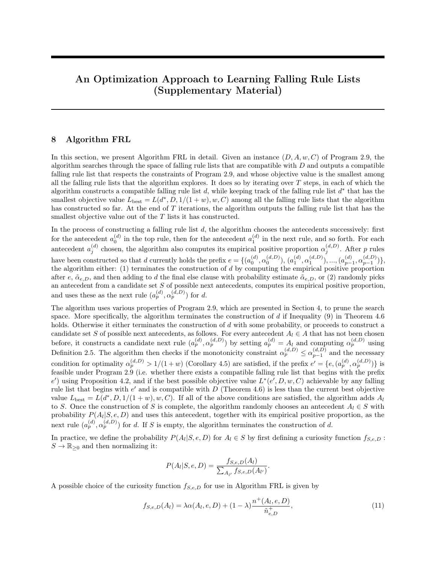of the empirical positive proportion in Definition 2.5, together with [\(46\)](#page-15-0), [\(48\)](#page-15-1), [\(49\)](#page-15-2), and [\(50\)](#page-15-3), we must have

$$
\begin{split} \hat{\alpha}_{|e|}^{(d')} = \alpha_{|e|}^{(d',D)} = \frac{n_{|e|,d',D}^+}{n_{|e|,d',D}} = \frac{\sum_{j:|e|\leq j \leq |d|\wedge \alpha_j^{(d,D)} > 1/(1+w)} n_{j,d,D}^+}{\sum_{j:|e|\leq j \leq |d|\wedge \alpha_j^{(d,D)} > 1/(1+w)} n_{j,d,D}} \\ = \frac{\sum_{j:|e|\leq j \leq |d|\wedge \alpha_j^{(d,D)} > 1/(1+w)} \alpha_j^{(d,D)} n_{j,d,D}}{\sum_{j:|e|\leq j \leq |d|\wedge \alpha_j^{(d,D)} > 1/(1+w)} n_{j,d,D}} > \frac{1}{1+w}, \end{split}
$$

and

$$
\begin{split} \hat{\alpha}_{|e|+1}^{(d')} = \alpha_{|e|+1}^{(d',D)} = \frac{n_{|e|+1,d',D}^+}{n_{|e|+1,d',D}} = \frac{\sum_{j:|e|\leq j\leq |d|\wedge\alpha_j^{(d,D)}\leq 1/(1+w)}n_{j,d,D}^+}{\sum_{j:|e|\leq j\leq |d|\wedge\alpha_j^{(d,D)}\leq 1/(1+w)}n_{j,d,D}}\\ = \frac{\sum_{j:|e|\leq j\leq |d|\wedge\alpha_j^{(d,D)}\leq 1/(1+w)}\alpha_j^{(d,D)}n_{j,d,D}}{\sum_{j:|e|\leq j\leq |d|\wedge\alpha_j^{(d,D)}\leq 1/(1+w)}n_{j,d,D}} \leq \frac{1}{1+w}. \end{split}
$$

This means that the contribution  $R_{|e|}(d', D, 1/(1+w), w)$  by the  $|e|$ -th rule to  $R(d', D, 1/(1+w), w)$  is given by

$$
R_{|e|}(d', D, 1/(1+w), w) = \frac{1}{n} n_{|e|, d', D}^{-} = \frac{1}{n} \sum_{j : |e| \leq j \leq |d| \wedge \alpha_j^{(d, D)} > 1/(1+w)} n_{j, d, D}^{-},
$$

where we have used [\(47\)](#page-15-4), and the contribution  $R_{|e|+1}(d', D, 1/(1+w), w)$  by the  $(|e|+1)$ -st "rule" (i.e. the final else clause) to  $R(d', D, 1/(1 + w), w)$  is given by

$$
R_{|e|+1}(d', D, 1/(1+w), w) = \frac{w}{n} n_{|e|+1, d', D}^+ = \frac{w}{n} \sum_{j : |e| \le j \le |d| \wedge \alpha_j^{(d, D)} \le 1/(1+w)} n_{j, d, D}^+,
$$

where we have used [\(49\)](#page-15-2).

It then follows that the empirical risk of misclassification by the rule list  $d'$  is the same as that by the rule list d:

$$
R(d', D, 1/(1+w), w)
$$
  
=  $R(e, D, 1/(1+w), w) + R_{|e|}(d', D, 1/(1+w), w) + R_{|e|+1}(d', D, 1/(1+w), w)$   
=  $R(e, D, 1/(1+w), w)$   
+  $\frac{1}{n} \sum_{j:|e| \le j \le |d|\wedge \alpha_j^{(d,D)} > 1/(1+w)} n_{j,d,D}^- + \frac{w}{n} \sum_{j:|e| \le j \le |d|\wedge \alpha_j^{(d,D)} \le 1/(1+w)} n_{j,d,D}^+$   
=  $R(e, D, 1/(1+w), w) + \sum_{j=|e|}^{|d|} R_j(d, D, 1/(1+w), w)$   
=  $R(d, D, 1/(1+w), w).$  (51)

Step 3. Show that the monotonicity penalty of the rule list  $d'$  is at most that of  $d$ .

Let  $S(d, D) = \sum_{j=0}^{|d|} \lfloor \alpha_j^{(d, D)} - \min_{k < j} \alpha_k^{(d, D)} \rfloor$  $\binom{a,D}{k}$  = be the monotonicity penalty of the rule list d. We now show  $S(d', D) \leq S(d, D)$ . Let  $S_j(d, D) = \lfloor \alpha_j^{(d, D)} - \min_{k < j} \alpha_k^{(d, D)} \rfloor$  ${k^{(a,D)} \choose k}$  be the monotonicity penalty for the *j*-th rule  $\text{in } d$ .

Let  $l \in \{ |e|, ..., |d| \}$  be any integer with

<span id="page-16-0"></span>
$$
\alpha_l^{(d,D)} = \max_{j:|e| \le j \le |d| \wedge \alpha_j^{(d,D)} > 1/(1+w)} \alpha_j^{(d,D)}.
$$
\n(52)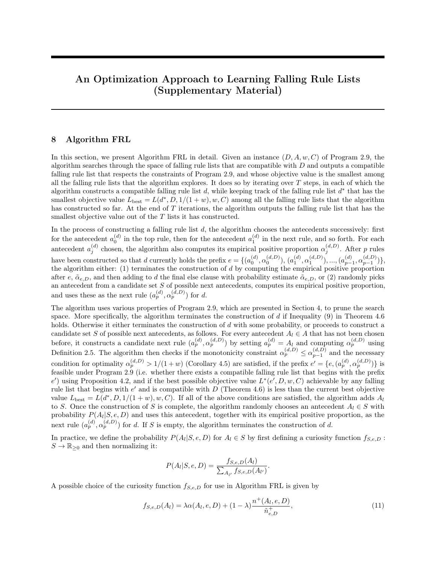Then the total monotonicity penalty for all the rules  $(a_j^{(d)}; (d,D))$  in d with jej j j dj and  $(1, D)$  in  $(1 + w)$ satis es

X j:jej j j dj^  $\int_{i}^{(d;D)}$  > 1=(1+ w)  $S_i(d; D)$   $S_l(d; D)$  (becauseS<sub>l</sub>(d; D) is included in the sum on the left)

$$
= b \, \Big|_{1}^{(d;D)} \min_{\substack{k < l \\ k > j \text{ e} \text{ is}}} \frac{d^{(d;D)}(c)}{k} c_{+} \, . \tag{53}
$$

On the other hand, the monotonicity penalty for the jej-th rule in  $d^0$  satis es

$$
S_{j\,ej}(d^0; D) = b \, \underset{j\,ej}{\overset{(d^0; D)}{;}} \, \underset{k < j\,ej}{\text{min}} \, \underset{k}{\overset{(d^0; D)}{;}} c_{+} \, b \, \underset{l}{\overset{(d; D)}{;}} \, \underset{k < j\,ej}{\text{min}} \, \underset{k}{\overset{(d; D)}{;}} c_{+} \, ; \tag{54}
$$

because we hav<del>e</del>nin<sub>k< jej k</sub> $\frac{d^{0}$ ;<sup>D</sup>)  $k_k^{(d^0;D)}$  = min  $k < j$ ej  $k_k^{(d;D)}$  $k_{\rm k}^{\rm (d;D)}$  (d and d<sup>0</sup> begin with the same pre x e), and

$$
\frac{(d^{0};D)}{p} = \frac{n_{j}^{+}e_{j;d}\circ D}{p_{j}^{+}e_{j;d}\circ D}
$$
 (by the de nition of the empirical positive proportion in De nition 2.5)  
\n
$$
= \frac{p_{j}^{+}e_{j}^{+}e_{j}^{+}p_{j}}{p_{j}^{+}e_{j}^{+}e_{j}^{+}e_{j}} \times 1 = (1+w_{j}^{+}n_{j}^{+}e_{j}^{+}e_{j})
$$
 (by Equations (46) and (48))  
\n
$$
= \frac{p_{j}^{+}e_{j}^{+}p_{j}}{p_{j}^{+}e_{j}^{+}e_{j}^{+}e_{j}} \times 1 = (1+w_{j}^{+}n_{j}^{+}e_{j}^{+}e_{j})
$$
 (by the de nition of  $\frac{1}{p_{j}}$  (d;D) in De nition 2.5)  
\n
$$
= \frac{p_{j}^{+}e_{j}^{+}p_{j}}{p_{j}^{+}e_{j}^{+}e_{j}} \times 1 = (1+w_{j}^{+}n_{j}^{+}e_{j})
$$
 (by the de nition of  $\frac{1}{p_{j}}$  (d;D) in (52))  
\n
$$
= \frac{1}{p_{j}}(1-p_{j})
$$
 (by the de nition of 1 in (52))  
\n
$$
= \frac{1}{p_{j}}
$$

 $\overline{\mathbf{v}}$ 

Combining (53) and (54), we have

$$
S_{j\,ej}(d^{0}, D) \qquad S_{j} (d; D): \qquad (55)
$$

A similar argument will show

$$
S_{j\dot{e}j+1}(d^0; D) \qquad X \qquad S_j(d; D): \qquad (56)
$$

It then follows from (55) and (56) that the monotonicity penalty of  $d^0$  is at most that of d:

$$
S(d^{0}, D) = \bigotimes_{j=0}^{0} S_{j} (d^{0}, D) + S_{j}e_{j} (d^{0}, D) + S_{j}e_{j+1} (d^{0}, D)
$$
  
\n
$$
O_{j} = O \bigotimes_{j=0}^{j=0} S_{j} (d; D) + \bigotimes_{j=0}^{j} (d^{0}, D) + \bigotimes_{j=0}^{j=0} (d; D) \bigotimes_{j=0}^{j=0} (d; D) + \bigotimes_{j=0}^{j=0} (d; D) \bigotimes_{j=0}^{j=0} (d; D) \bigotimes_{j=0}^{j=0} (d; D) \bigotimes_{j=0}^{j=0} (d; D) \bigotimes_{j=0}^{j=0} (d; D) \bigotimes_{j=0}^{j=0} (58)
$$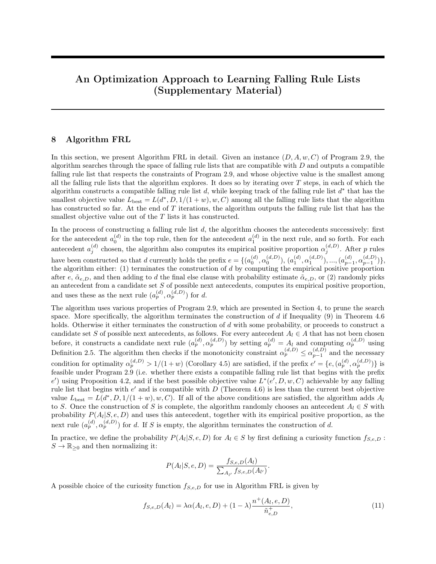Step 4. Put everything together.

Using (51) and (58), together with the observation  $\text{jd}^G = \text{jq} + 1$  j dj, we must also have

$$
E(d^0, D; 1=(1 + w); w; C; C_1) = R(d^0, D; 1=(1 + w); w) + Cjd^0 + C_1S(d^0, D)
$$
  
\n
$$
R(d; D; 1=(1 + w); w) + Cjdj + C_1S(d; D)
$$
  
\n
$$
= E(d; D; 1=(1 + w); w; C; C_1):
$$

Case 2. Either  $\frac{(d;D)}{j}$  > 1=(1 + w) holds for all j 2 fj ej;:::; jdjg, or  $\frac{(d;D)}{j}$  1=(1 + w) holds for all j 2 fj ej;:::; jdjg. The construction of d<sup>0</sup> = e and the proof for R(d<sup>0</sup>, D; 1=(1 + w); w) = R(d; D; 1=(1 + w); w) is similar to those given in the proof of Lemma 4.4. The proof for $S(d^0, D)$   $S(d; D)$  is similar to that in Case 1. The desired inequality then follows from  $d^0 = i$  ej j dj.  $\Box$ 

Before we proceed with proving Theorem 5.2, we make the following four observations. Observations 11.1, 11.2, and 11.3 are the same as Observations 10.1, 10.2 and 10.3. They are repeated here for convenience.

Observation 11.1 For any rule list

$$
d^0\! =\, f\, e; (a_{j\, e j}^{(d^0)}\, ,\, \substack{\wedge\,(d^0) \\ j\, e j}\, ) ; ...; (a_{j\, d^0 j}^{(d^0)}\, \_,\, \substack{\wedge\,(d^0) \\ j\, d^0 j-1} ) ;\, \substack{\wedge\,(d^0) \\ j\, d^0 j} \, g
$$

that begins with a given pre  $x$  e, we have

$$
n_{e;D}^{+} = n_{j}^{+}{}_{e;jd^{0};D} + \dots n_{jd^{0}j;d^{0};D}^{+};
$$
\n(59)

$$
R_{e;D} = n_{j \in j; d^0; D} + \dots n_{j d^0 j; d^0; D} ; \qquad (60)
$$

and

$$
R_{e;D} = n_{j}{}_{j;d}{}^{0;D} + \dots n_{j}{}_{d}{}^{0j;d}{}^{0;D} \tag{61}
$$

 $\Box$ 

 $\Box$ 

Proof. Same as Observation 10.1.

Observation 11.2. For any rule list 
$$
d^0
$$
, we have

$$
n_{j\text{ej};d^{0},D} = \frac{0}{\frac{1}{(d^{0},D)}} \qquad 1^{A} \; n_{j\text{ej};d^{0},D}^{+};
$$
\n(62)

Proof. Same as Observation 10.2.

Observation 11.3. For any rule list

$$
d^0\text{ = f e; (a_{j \, ej}^{(d^0)}; \, \Lambda^{(d^0)}_{j \, ej}; \, \Lambda^{(d^0)}_{j \, ej+1} \, g
$$

that has exactly one rule (excluding the nal else clause) following a given prexe, we have

$$
n_{j\dot{e}j+1\;;d^0;D}^+ = n_{e;D}^+ \quad n_{j\dot{e}j;d^0;D}^+ ;
$$
 (63)

$$
n_{j\text{ej}+1\,;d^0;D} = n_{\text{e};D} \quad n_{j\text{ej};d^0;D} \, ; \tag{64}
$$

and

$$
n_{jej+1,d^0;D} = n_{e;D} \t n_{jej;d^0;D} \t (65)
$$

Note that since  $n^+_{j}$ <sub>ej+1</sub>;<sub>d<sup>o</sup>;D</sub>,  $n_{j}$ <sub>ej+1;d<sup>o</sup>;D</sub>, and  $n_{j}$ <sub>ej+1;d</sub>o<sub>;D</sub> are non-negative, Equations (63), (64), and (65) imply  $\mathsf{n}^+_{|\mathsf{ej};\mathsf{d}^0;\mathsf{D}} \quad \mathsf{R}^+_{\mathsf{e};\mathsf{D}} \, , \, \mathsf{n}_{|\mathsf{ej};\mathsf{d}^0;\mathsf{D}} \quad \mathsf{R}_{\mathsf{e};\mathsf{D}} \, , \, \text{and} \, \mathsf{n}_{|\mathsf{ej};\mathsf{d}^0;\mathsf{D}} \quad \mathsf{R}_{\mathsf{e};\mathsf{D}} \, .$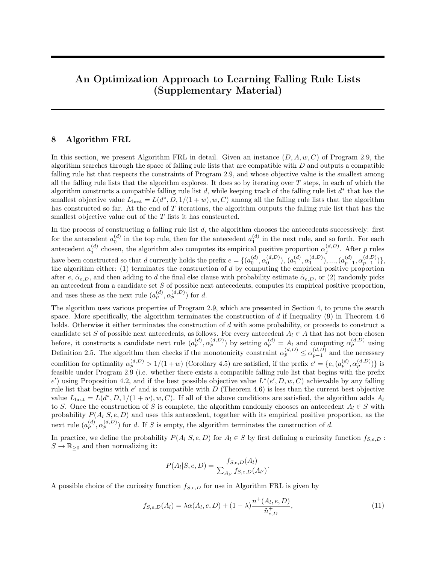Proof. Same as Observation 10.3.

Observation 11.4. For any rule list

$$
d^0 = \; f \; e; (a^{(d^0)}_{j \, ej}; \, \substack{\wedge(d^0) \\ j \, ej}; \, \substack{\wedge(d^0) \\ j \, ej+1} \; g
$$

that has exactly one rule (excluding the nal else clause) following a given prexe, we have

$$
(\mathbf{d}^{0},\mathbf{D}) = \frac{\mathbf{h}_{e;D}^{+}}{\mathbf{h}_{e;D}^{+} + \mathbf{h}_{e;D} - \frac{\mathbf{h}_{j\mathbf{e}j; d^{0}; D}}{\frac{\mathbf{d}^{0}(D)}{\mathbf{e}j}} \cdot \mathbf{h}_{j\mathbf{e}j; d^{0}; D}} \cdot \tag{66}
$$

Proof. By De nition 2.5, we have

$$
(\textbf{d}^{0};\textbf{D})\,=\,\frac{\textbf{n}^{+}_{j\textbf{e}j+1\;;\textbf{d}^{0};\textbf{D}}}{\textbf{n}_{j\textbf{e}j+1\;;\textbf{d}^{0};\textbf{D}}}\,=\,\frac{\textbf{n}^{+}_{j\textbf{e}j+1\;;\textbf{d}^{0};\textbf{D}}}{\textbf{n}^{+}_{j\textbf{e}j+1\;;\textbf{d}^{0};\textbf{D}}+ \textbf{n}_{j\textbf{e}j+1\;;\textbf{d}^{0};\textbf{D}}}\,.
$$

Applying Equations (63) and (64) in Observation 11.3, we have

$$
\begin{aligned} &\textbf{(d}^{0};\textbf{D}) \;=\; \frac{\textbf{R}_{e;\textbf{D}}^{\dagger} \quad \ \ \textbf{n}_{j\textbf{e}j;\textbf{d}^{0};\textbf{D}}^{\dagger}}{(\textbf{R}_{e;\textbf{D}}^{\dagger} \quad \ \ \textbf{n}_{j\textbf{e}j;\textbf{d}^{0};\textbf{D}}^{\dagger}) + (\textbf{A}_{e;\textbf{D}} \quad \ \ \textbf{n}_{j\textbf{e}j;\textbf{d}^{0};\textbf{D}}^{\dagger})}\\ &=\; \frac{\textbf{R}_{e;\textbf{D}}^{\dagger} \quad \ \ \textbf{n}_{j\textbf{e}j;\textbf{d}^{0};\textbf{D}}^{\dagger}}{\textbf{R}_{e;\textbf{D}}^{\dagger} \quad \ \textbf{n}_{j\textbf{e}j;\textbf{d}^{0};\textbf{D}}^{\dagger}} \; . \end{aligned}
$$

Applying Equation (62) in Observation 11.2, we have

$$
\begin{aligned} &\textbf{(d^0;D)}\\ &\textbf{(ej+1)}\\ &\textbf{(ej+1)}\\ &\textbf{(ej+1)}\\ &\textbf{(ej+1)}\\ &\textbf{(ej+1)}\\ &\textbf{(ej+1)}\\ &\textbf{(ej+1)}\\ &\textbf{(ej+1)}\\ &\textbf{(ej+1)}\\ &\textbf{(ej+1)}\\ &\textbf{(ej+1)}\\ &\textbf{(ej+1)}\\ &\textbf{(ej+1)}\\ &\textbf{(ej+1)}\\ &\textbf{(ej+1)}\\ &\textbf{(ej+1)}\\ &\textbf{(ej+1)}\\ &\textbf{(ej+1)}\\ &\textbf{(ej+1)}\\ &\textbf{(ej+1)}\\ &\textbf{(ej+1)}\\ &\textbf{(ej+1)}\\ &\textbf{(ej+1)}\\ &\textbf{(ej+1)}\\ &\textbf{(ej+1)}\\ &\textbf{(ej+1)}\\ &\textbf{(ej+1)}\\ &\textbf{(ej+1)}\\ &\textbf{(ej+1)}\\ &\textbf{(ej+1)}\\ &\textbf{(ej+1)}\\ &\textbf{(ej+1)}\\ &\textbf{(ej+1)}\\ &\textbf{(ej+1)}\\ &\textbf{(ej+1)}\\ &\textbf{(ej+1)}\\ &\textbf{(ej+1)}\\ &\textbf{(ej+1)}\\ &\textbf{(ej+1)}\\ &\textbf{(ej+1)}\\ &\textbf{(ej+1)}\\ &\textbf{(ej+1)}\\ &\textbf{(ej+1)}\\ &\textbf{(ej+1)}\\ &\textbf{(ej+1)}\\ &\textbf{(ej+1)}\\ &\textbf{(ej+1)}\\ &\textbf{(ej+1)}\\ &\textbf{(ej+1)}\\ &\textbf{(ej+1)}\\ &\textbf{(ej+1)}\\ &\textbf{(ej+1)}\\ &\textbf{(ej+1)}\\ &\textbf{(ej+1)}\\ &\textbf{(ej+1)}\\ &\textbf{(ej+1)}\\ &\textbf{(ej+1)}\\ &\textbf{(ej+1)}\\ &\textbf{(ej+1)}\\ &\textbf{(ej+1)}\\ &\textbf{(ej+1)}\\ &\textbf{(ej+1)}\\ &\textbf{(ej+1)}\\ &\textbf{(ej+1)}\\ &\textbf{(ej+1)}\\ &\textbf{(ej+1)}\\ &\textbf{(ej+1)}\\ &\textbf{(e
$$

We are now ready to prove Theorem 5.2.

Proof of Theorem 5.2. Let  $D(X; D; e)$  be the set of (hypothetical and non-hypothetical) rule lists that begin with e and are compatible with D, and let  $D(X;D; e; k)$  be the subset of  $D(X; D; e)$ , consisting of those rule lists in D(X ; D; e) that have exactly k rules (excluding the nal else clause) following the prex e. Let  $S(X; D; e; 1)$  be the subset of  $D(X; D; e; 1)$ , consisting of those rule lists

$$
d^0 = fe; (a_{jej}^{(d^0)}, \, \substack{(d^0; D \\ jej}; \, \substack{(d^0; D) \\ jej+1} g \, 2 \, D(X; D; e; 1)
$$

with  $\begin{array}{c} (d^0;D) \\ in \end{array}$  $j_{\text{eq}}^{(\text{d}^0;D)}$  > 1=(1 + w) and  $j_{\text{eq}+1}^{(\text{d}^0;D)}$  1=(1 + w).

Note that we have  $D(X; D; e; 0) = f e g$ , where  $e = fe$ ;  $\sim_{e;D} g$  is the rule list in which the nal else clause immediately follows the pre x e, and the probability estimate of the nal else clause is  $\sim_{e;D}$ , by a similar argument as that given in the proof of Theorem 4.6 for  $F(X; D; e; 0) = f e g$ .

Let  $d 2 D(X; D; e)$ .

The lemma that we have proved in this section, along with its proof, implies

$$
E(d; D; 1=(1+w); w; C; C_1) \quad \inf_{d^0 2S\ (X; D; e; 1)} \inf_{D(X; D; e; 0)} E(d^0, D; 1=(1+w); w; C; C_1)
$$
 (67)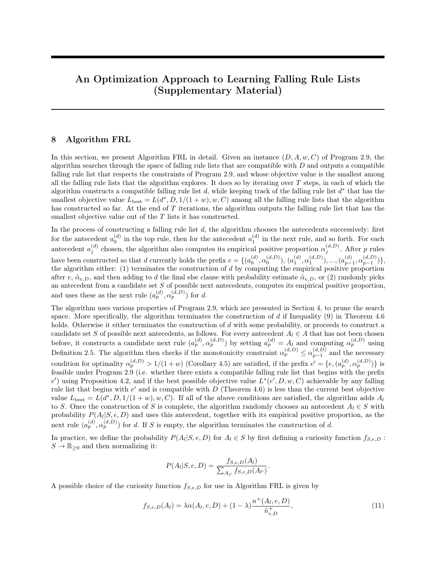This is because ifd obeys Case 1 in the proof of the lemma, then using the same argument as in the proof of the lemma we can construct a rule listd<sub>1</sub> = f e;(a $_{[ej}^{(d_1)};$   $_{[ej]}^{(d_1;D)}$ );  $_{[ej+1]}^{(d_1;D)}$ g 2 S(X;D;e;1) that satis es

$$
E(d; D; 1=(1 + w); w; C; C1) \qquad E(d1; D; 1=(1 + w); w; C; C1): \qquad (68)
$$

Since  $d_1$  must also obey

$$
\begin{array}{lll}\n\mathsf{L}(d_1; D; 1=(1+w); w; C; C_1) & \inf_{d^0\geq S} \mathsf{L}(d^0; D; 1=(1+w); w; C; C_1) \\
& \inf_{d^0\geq S} \mathsf{L}(X; D; e; 1) & \inf_{D(X; D; e; 0)} \mathsf{L}(d^0; D; 1=(1+w); w; C; C_1);\n\end{array} \tag{69}
$$

combining the inequalities in (68) and (69) gives us (67). On the other hand, ifd obeys Case 2 in the proof of the lemma, then by the lemma itself we know

$$
E(d; D; 1=(1 + w); w; C; C1) \qquad E(e; D; 1=(1 + w); w; C; C1): \qquad (70)
$$

Since we have  $D(X; D; e; 0) = f e g$ , it is straightforward to see

$$
E(e; D; 1=(1 + w); w; C; C_1) = \inf_{d^0 2D (X; D; e; 0)} E(d^0; D; 1=(1 + w); w; C; C_1)
$$
  

$$
\inf_{d^0 2S (X; D; e; 1)} E(d^0; D; 1=(1 + w); w; C; C_1)
$$
  

$$
E(d^0; D; 1=(1 + w); w; C; C_1)
$$
 (71)

Combining the inequalities in (70) and (71) again gives us (67).

Note that if  $S(X; D; \varepsilon; 1)$  is not empty, then the right-hand side of (67) can be expressed as

$$
\inf_{d^{0}\geq S} \sup_{(X; D; e; 1)} \inf_{D(X; D; e; 0)} E(d^{0}, D; 1=(1+w); w; C; C_{1})
$$
\n
$$
= \inf_{d^{0}\geq S} \inf_{(X; D; e; 1)} S_{f e g} E(d^{0}, D; 1=(1+w); w; C; C_{1})
$$
\n
$$
= \min \inf_{d^{0}\geq S} \inf_{(X; D; e; 1)} E(d^{0}, D; 1=(1+w); w; C; C_{1}); E(e; D; 1=(1+w); w; C; C_{1})
$$
\n(72)

The rest of the proof proceeds in six steps.

Step 1. Compute  $\mathbb{C}({\bf e}; {\bf D}; 1=(1 + w); w; C; C_1)$ .

Since the contribution by the nal else clause to  $\mathbb{C}(\mathsf{e};\mathsf{D};1=(1+w);w;C;C_1)$  is given by  $\mathsf{R}_{\mathsf{jej}}(\mathsf{e};\mathsf{D};1=(1+w)$  $w)$ ;  $w) + b_{e;D}$  $\frac{(\mathsf{e};\mathsf{D})}{(\mathsf{c}_\mathsf{H} \mathsf{c}_\mathsf{H} \mathsf{c}_\mathsf{H} \mathsf{c}_\mathsf{H})}$  (e; D; 1=(1 +  $\mathsf{w}$ ); w) is de ned by Equation (13) and is given by

$$
R_{jej}(e; D; 1=(1+w); w) = \begin{cases} \frac{1}{n}n_{jej; e; D} & \text{if } \sim_{e; D} > 1=(1+w) \\ \frac{w}{n}n_{jej; e; D}^{+} & \text{otherwise,} \end{cases}
$$

and since Observation 11.1 implie $\mathbf{\mathfrak{s}}^+_{e;D} = n^+_{|e|;e;D}$  and  $\mathbf{\mathfrak{n}}_{e;D} = n_{|e|;e;D}$ , it is not di cult to see

$$
\begin{array}{lcl} & \mathsf{L}^{\mathsf{L}}(e;D;1=(1+w);w;C;C_{1})\\ & & \mathsf{L}^{\mathsf{L}}(e;D;1=(1+w);w;C;C_{1})+\frac{1}{n}\mathsf{R}_{e;D}+C_{1}b\mathsf{-}_{e;D} & \underset{\text{min}}{\overset{(e;D)}{\min}}c_{+} & \text{if} \;\;_{e;D}>1=(1+w)\\ & & \mathsf{L}^{\mathsf{L}}(e;D;1=(1+w);w;C;C_{1})+\frac{w}{n}\mathsf{R}_{e;D}^{+}+C_{1}b\mathsf{-}_{e;D} & \underset{\text{min}}{\overset{(e;D)}{\min}}c_{+} & \text{otherwise.} \end{array}
$$

Since  $\sim_{e;D}$  > 1=(1 + w) is equivalent to  $n_{e;D}^+$  =( $n_{e;D}^+$  +  $n_{e;D}$ ) > 1=(1 + w), or w $n_{e;D}^+$  >  $n_{e;D}$ , and similarly  $\sim_{e;D}$  1=(1 + w) is equivalent to wn<sub>e;D</sub>, n<sub>e;D</sub>, we can write

$$
E(e; D; 1=(1 + w); w; C; C1)
$$
  
= min 
$$
E(e; D; 1=(1 + w); w; C; C1) + \frac{1}{n}A_{e;D} + C_1b_{e;D} \t min C_{e;D}
$$
  

$$
E(e; D; 1=(1 + w); w; C; C1) + \frac{W}{n}A_{e;D}^{+} + C_1b_{e;D} \t min C_{e;D}
$$
  
= 
$$
E(e; D; 1=(1 + w); w; C; C1) + min \frac{W}{n}A_{e;D}^{+}; \frac{1}{n}A_{e;D} + C_1b_{e;D} \t min C_{e;D}
$$
  

$$
(73)
$$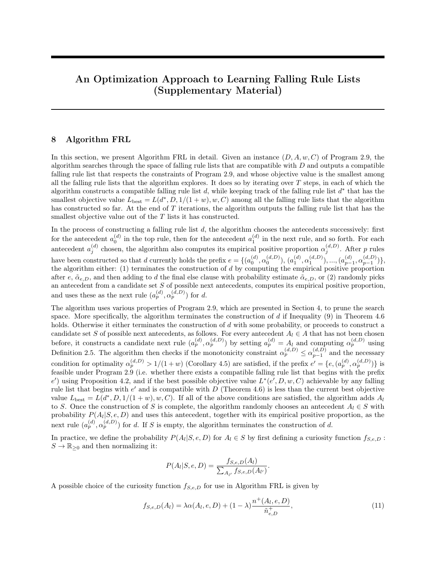Step 2. Partition the set S(X ; D; e; 1) into three subsets based on how the softly falling objective is computed. For any  $d^0 = f e$ ; ( $a_{\text{ini}}^{(d^0)}$ (d<sup>0</sup>) (d<sup>0</sup>;D)<br>jej <sup>;</sup> jej  $\frac{d^{(d^0;D~)}(d^{(0)};D~)}{d^{(e)}(d^{(1)};D~)}$ g 2 S $(X;D;e;1),$  the softly falling objective is given by

$$
\begin{aligned}\n&\mathsf{L}(d^0, D; 1=(1+w); w; C; C_1) \\
&= \mathsf{L}(e; D; 1=(1+w); w; C; C_1) + \frac{1}{n} n_{j} e_{j; d^0; D} + \frac{w}{n} n_{j}^+ e_{j+1; d^0; D} + C \\
&\quad + C_1 b \, \underset{j \text{ej}}{(d^0; D)} \qquad \underset{min}{(e; D)} c_+ + C_1 b \, \underset{j \text{ej}+1}{(d^0; D)} \qquad \underset{min}{(e; D)} c_+ : \n\end{aligned}
$$
\n(74)

This is because for anyd<sup>0</sup> 2 S(X; D; e; 1), the contribution by both the jej-th rule and the nal else clause to  $\mathsf{L}(\mathsf{d}^0; \mathsf{D}; 1=(1 + w); w; \mathsf{C}; \mathsf{C}_1)$  is given by

$$
R_{j\text{ej}}(d^0\!,D;\ 1=(1+w)\,;w)+\ R_{j\text{ej}+1}\left(d^0\!,D;\ 1=(1+w)\,;w\right)+\ C\,+\,C_1b\,\,{}^{(d^0\!,D\,)}_{j\text{ej}}\qquad \,{}^{(\text{e};D)}_{\text{min}}c_+ \,+\,C_1b\,\,{}^{(d^0\!,D)}_{j\text{ej}+1}\qquad \,{}^{(\text{e};D)}_{\text{min}}c_+ \,;
$$

where  $R_{jej}(d^0, D; 1=(1 + w); w)$  and  $R_{jej+1}$  (d<sup>0</sup>; D; 1=(1 + w); w) are de ned by Equation (13) and are given by

$$
R_{j\text{ej}}(d^0, D; 1=(1+w); w) = \frac{1}{n}n_{j\text{ej};d^0;D} \quad \text{and} \quad R_{j\text{ej}+1}(d^0, D; 1=(1+w); w) = \frac{w}{n}n_{j\text{ej}+1;d^0;D}^+
$$

(because we have  $\frac{(d^0;D)}{d}$ )  $\frac{d^{(d)}(B)}{d^{(e)}}$  > 1=(1 + w) and  $\frac{d^{(d)}(D)}{d^{(e)}(D)}$  1=(1 + w) for  $d^{0} 2 S(X; D; e; 1)$ ). Let

$$
S_1(X; D; e; 1) = f d^0 = f e; (a_{j}^{(d^0)}; \underbrace{(d^0; D)}_{j \text{ ej}}); \underbrace{(d^0; D)}_{j \text{ ej}+1} g 2 S(X; D; e; 1): \underbrace{(e; D)}_{j \text{ mi}} \underbrace{(d^0; D)}_{j \text{ ej}}) > \underbrace{(d^0; D)}_{j \text{ ej}+1} g; S_2(X; D; e; 1) = f d^0 = f e; (a_{j}^{(d^0)}; \underbrace{(d^0; D)}_{j \text{ ej}}); \underbrace{(d^0; D)}_{j \text{ ej}+1} g 2 S(X; D; e; 1): \underbrace{(d^0; D)}_{j \text{ ej}}) > \underbrace{(e; D)}_{j \text{ mi}} \underbrace{(d^0; D)}_{j \text{ ej}+1} g;
$$

and

$$
S_3(X;D;e;1) = f d^0 = fe; (a_{jej}^{(d^0)}, \t_{jej}^{(d^0;D)}); \t_{jej+1}^{(d^0;D)} g 2 S(X;D;e;1): \t_{jej}^{(d^0;D)} > \t_{jej+1}^{(d^0;D)} > \t_{jej+1}^{(e;D)} g;
$$

It is easy to see

$$
S(X; D; e; 1) = S_3(X; D; e; 1) [S_1(X; D; e; 1) [S_2(X; D; e; 1)].
$$

We observe here that given the pre x e, we can write L(d<sup>0</sup>, D; 1=(1 + w); w; C; C<sub>1</sub>) as a function of n+<sub>jej;d°;D</sub> and  $\begin{array}{cc} (d^0;D) \\ in \end{array}$  $\frac{1}{|e|}$ , by substituting (62), (63), and (66) in Observations 11.1, 11.2, and 11.3 into (74). Step 3. Determine a lower bound of  $\mathbb{C}(\text{d}^0, \text{D}; 1=(1 + w); w; C; C_1)$  for all  $\text{d}^0 2 S_1(X; \text{D}; \text{e}; 1)$ . Let  $d^0 = f e$ ; ( $a_{\text{ini}}^{(d^0)}$ (d<sup>0</sup>). (d<sup>0</sup>;D)<br>jej <sup>,</sup> jej  $j_{[e]}^{(d^0;D)}$ );  $j_{[e]+1}^{(d^0;D)}$ g 2 S<sub>1</sub>(X; D; e; 1). By the de nition of S<sub>1</sub>(X; D; e; 1), we have

(e;D) 
$$
(d^0;D)
$$
 >  $\frac{1}{1+w}$   $(d^0;D)$    
min  $jej$  =  $\frac{1}{1+w}$   $(d^0;D)$  (75)

We rst prove the following inequality

$$
\lim_{\min} \frac{(e;D)}{e^i} \quad \text{(d}^0;D) \quad > \quad \max(1=(1+w); \; \sim_{e;D}) \tag{76}
$$

which will be useful later.

To prove (76), we use Denition 2.5 as well as (63) and (65) in Observation 11.3 to obtain

$$
\sim_{e;D} \ = \ \frac{\mathsf{A}^+_{e;D}}{\mathsf{A}_{e;D}} \ = \ \frac{\mathsf{n}^+_{j e j; d^0; D} \ + \ \mathsf{n}^+_{j e j + 1 \; ; d^0; D}}{\mathsf{n}_{j e j; d^0; D} \ + \ \mathsf{n}_{j e j + 1 \; ; d^0; D}} \ = \ \frac{\frac{(\mathsf{d}^0; D \ )}{j e j} \mathsf{n}_{j e j; d^0; D} \ + \ \frac{(\mathsf{d}^0; D \ )}{j e j + 1 \; ; d^0; D}}{\mathsf{n}_{j e j; d^0; D} \ + \ \mathsf{n}_{j e j + 1 \; ; d^0; D}} \ . \tag{77}
$$

Substituting  $\frac{(d^0;D)}{j}$  <  $\frac{(d^0;D)}{j}$  $\frac{d^{0,D}}{d^{0,D}}$  from (75) into (77), we obtain  $\sim_{e,D}$   $\lt$   $\frac{d^{0,D}}{d^{0,D}}$  $\sum_{j\in j}^{(\alpha\cdot,\nu)}$ . Combining this inequality with (e;D ) min  $(d^0;D)$  $\frac{d^{(d\hat{v};D)}}{d}$  >  $\frac{1}{1+w}$  from (75), we obtain (76), as desired.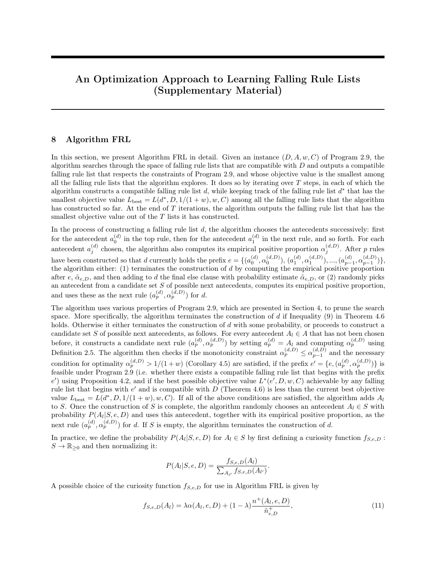Note that since (76) has to hold for any  $d^0 2 S_1(X; D; e; 1)$ , if  $(e; D)$ max(1= $(1 + w)$ ;  $\sim_{e:D}$ ) is true for the given pre x e, then  $S_1(X; D; e; 1)$  is empty.

We now show that given the pre x e, the softly falling objective  $\text{tr}(\text{d}^0, \text{D}; 1=(1 + w); w; C; C_1)$  for  $\text{d}^0$  is a monotonically decreasing function of bothn $^+_{\mathsf{jej};\mathsf{d}^0;\mathsf{D}}$  and  $\left.\begin{array}{cc} (\mathsf{d}^0;\mathsf{D} \end{array}\right)$ (u∵,∪).<br>jej

To do so, we substitute (62) and (63) in Observations 11.1 and 11.2 into (74) to obtain

$$
E(d^{0}, D; 1=(1 + w); w; C; C_{1})
$$
  
= E(e; D; 1=(1 + w); w; C; C\_{1}) +  $\frac{1}{n} \bigotimes_{\substack{d \mid d^{0}, D \text{ is odd} \\ |e|}} 1 \quad wA \, n^{+}_{j} \, n^{+}_{j} \, w_{D} + w n^{+}_{e;D} A + C: \qquad (78)$ 

 $\Omega$ 

Note that Equation (78) shows that given the pre x e,  $\text{C}(d^0, D; 1=(1 + w); w; C; C_1)$  is a function of  $n_{j}^*_{e^j; d^0; D}$ and  $\begin{pmatrix} d^0; D \\ i \end{pmatrix}$ <sup>(ɑˈ;Dː</sup>/. Since we have

$$
\frac{\text{Qc}(d^0; D; 1=(1+w); w; C; C_1)}{\text{Q} \underset{j_{\text{e}j}}{\uparrow} \underset{1}{\uparrow} \underset{0}{\uparrow} \underset{0}{\uparrow} \underset{0}{\uparrow} \underset{0}{\uparrow} \underset{0}{\downarrow} \underset{0}{\downarrow}}{0} \qquad 1 \qquad w^A < 0
$$

because  $\frac{(d^0;D)}{d}$  $\mathsf{p}_{\mathsf{inj}}^{(\mathsf{d}^{\omega};\mathsf{D})}$  > 1=(1 + w) holds for any  $\mathsf{d}^0 2\, \mathsf{S}_1(\mathsf{X}\,;\mathsf{D};\mathsf{e};\mathsf{1}),$  and

$$
\frac{\text{d}\!\!\!\!{\mathfrak{C}}(d^0\!,D;\,1\!\!=\!\!\!(1+w)\,;w;C;C_1)}{\text{d}\!\!\!\!{\phantom{T}}_{[e]}^{\,(d^0\!;D)}}\,=\,\quad\frac{n_{j\!e\!j;d^0\!;D}^+}{n}\,\frac{1}{(\!\begin{array}{c} (d^0\!;D\,)\,)^2\\[-0.5mm] (e^j\!)\end{array}}\quad 0;
$$

we see that $E(d^0, D; 1=(1 + w); w; C; C_1)$  is indeed a monotonically decreasing function of both $^{+}_{[eq];d^0;D}$  and  $(d^0;D)$  $j_{j}^{(d'',D)}$ . Thus, we can obtain a lower bound of $E(d^0, D; 1=(1 + w); w; C; C_1)$  by substituting  $n_{j}^+_{j}$  $\frac{d^{(d)}(B)}{d^{(e)}}$  with their respective upper bound. The inequality  $n_{[ej;d^0;D]}^+$  n<sup>+</sup><sub>e;D</sub> in Observation 11.3 gives an upper bound for  $n_{[ej;d^0;D]}^+$ , and the inequality  $\frac{(d^0;D)}{jej}$ jej  $\binom{(e;D)}{min}$  from (75) gives an upper bound for  $\frac{(d^0;D)}{[e]}$ (a~;D).<br>jej Substituting these upper bounds into (78), we obtain the following inequality, which gives a lower bound of  $\mathsf{L}(\mathsf{d}^0; \mathsf{D}; 1=(1 + \mathsf{w}); \mathsf{w}; \mathsf{C}; \mathsf{C}_1)$ :

$$
E(d^{0}, D; 1=(1 + w); w; C; C_{1})
$$
\n
$$
E(e; D; 1=(1 + w); w; C; C_{1}) + \frac{1}{n} \quad \frac{1}{\frac{(e;D)}{\min}} \quad 1 \quad w \quad R_{e;D}^{+} + w R_{e;D}^{+} + C
$$
\n
$$
= E(e; D; 1=(1 + w); w; C; C_{1}) + \frac{1}{n} \quad \frac{1}{\frac{(e;D)}{\min}} \quad 1 \quad R_{e;D}^{+} + C
$$

Step 4. Determine a lower bound of  $\mathbb{C}(\text{d}^0, \text{D}; 1=(1 + w); w; C; C_1)$  for all  $\text{d}^0 2 S_2(X; \text{D}; \text{e}; 1)$ . Let  $d^0 = f e$ ; ( $a_{\text{ini}}^{(d^0)}$ (d<sup>0</sup>) (d<sup>0</sup>;D)<br>jej <sup>;</sup> jej  $j_{[q]}^{(d^0;D)}$ );  $j_{[qj+1]}^{(d^0;D)}$ g 2 S<sub>2</sub>(X; D; e; 1). By the de nition of S<sub>2</sub>(X; D; e; 1), we have

$$
(\frac{d^{0}D}{d}) > \frac{1}{1+w}
$$
 (79)

and

$$
\begin{array}{lll}\n\text{(d}^0; \mathsf{D}) & & (\mathsf{e}; \mathsf{D}) & & (\mathsf{d}^0; \mathsf{D}) \\
\text{pi} & & \text{min} & & \text{pi} + 1\n\end{array}\n\tag{80}
$$

We rst prove the following inequality

$$
1 \t (d^{0}; D) > max(\t (e; D); \t -_{e;D}; 1 = (1 + w)) = ; \t (81)
$$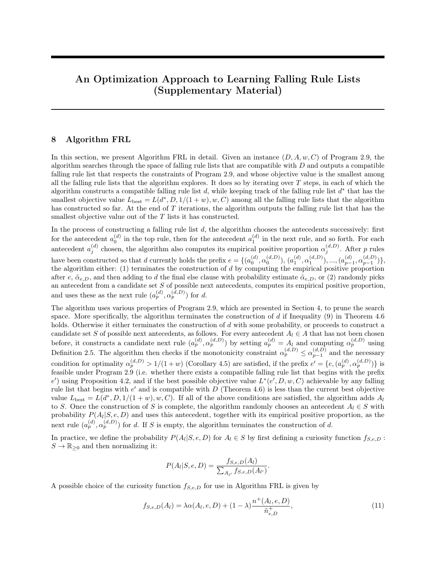which will be useful later.

To prove (81), we use Denition 2.5 as well as (63) and (65) in Observation 11.3 to obtain (77). Substituting (d<sup>0</sup>;D) < (d<sup>0</sup>;D)<br>jej+1 < jej  $\frac{d^{0,D}}{d^{0,D}}$  from (75) into (77), we obtain  $\sim_{e;D}$  <  $\frac{d^{0,D}}{d^{0,D}}$  $\frac{1}{|e|}$  Combining this inequality with (79) and  $(d^0;D)$  $\frac{d^{(d^0;D})}{d^{(e)}}$  >  $\frac{(\text{e};D)}{\text{min}}$  from (80), we obtain (81), as desired.

We now show that given the pre x e and a particular value of  $\binom{d^0, D}{id}$  $\frac{(\mathsf{d}^{\bullet}, \mathsf{D}^{\bullet})}{\mathsf{d}^{\bullet}}$  that obeys (81), the softly falling objective L (d<sup>0</sup>, D; 1=(1 + w); w; C; C<sub>1</sub>) for d<sup>0</sup> is a decreasing function of  $n_{j}^{+}$ <sub>iei;d<sup>0</sup>;D</sub>.

To do so, we substitute (62) and (63) in Observations 11.1 and 11.2 into (74) to obtain

$$
E(d^{0}, D; 1=(1 + w); w; C; C_{1})
$$
  
= 
$$
E(e; D; 1=(1 + w); w; C; C_{1}) + \frac{1}{n} \mathbb{Q} \mathbb{Q} \frac{1}{\frac{d^{0}, D}{|e|}} \qquad 1 \qquad W^{A} \eta_{j}^{+} = \eta_{j}^{0} \eta_{j}^{0} \qquad A + C
$$
  
+ 
$$
C_{1}(\frac{d^{0}, D}{j} \qquad \frac{(e; D)}{min})
$$
 (82)

Note that Equation (82) shows that given the pre x e,  $\text{tr}(d^0, D; 1=(1 + w); w; C; C_1)$  is a function of  $n_{j \in j; d^0; D}^*$ and  $\begin{array}{cc} (d^0;D) \\ in \end{array}$  $j_{\rm eq}^{(d\%,D)}$ . Di erentiating  $C(d^0, D; 1=(1+w); w; C; C_1)$  given in (82) with respect to  $n_{\rm fej; d^0; D}^*$  , we obtain

$$
\frac{\mathbf{\mathbf{\Phi}}(d^0, D; 1=(1+w); w; C; C_1)}{\mathbf{\mathbf{\Phi}}|_{\mathbf{\Theta}}; d^0; D} = \frac{1}{n} \mathbf{\mathbf{\Phi}} \frac{1}{\frac{d^0(D)}{|\mathbf{\Theta}|}} \quad 1 \quad w^A: \tag{83}
$$

Since  $\begin{matrix} (d^0;D) \\ iei \end{matrix}$  $\frac{(\mathrm{d}^0,\mathsf{D}\,)}{\mathsf{d}\mathsf{e}}$  obeys (81), in particular, it obeys  $\frac{(\mathrm{d}^0,\mathsf{D}\,)}{\mathsf{d}\mathsf{e}}$  $j_{\text{eq}}^{(d^2;D^2)}$  > 1=(1 + w), we have

$$
\frac{1}{\frac{(\mathbf{d}^0; \mathsf{D})}{j\,\mathsf{e}j}} \quad 1 \quad \mathsf{w} < 0;
$$

which then gives  $\mathcal{Q}$  (d<sup>0</sup>; D; 1=(1 + w); w; C; C<sub>1</sub>)= $\mathcal{Q}$   $\big\uparrow_{b}$ <sub>j;d<sup>0</sup>;D</sub> < 0. This means that given the pre x e and a particular value of  $\frac{d^{0}$ ; D)  $\sigma^{(d^0;\textsf{D})}_{j\textsf{e}j}$  that obeys (81),  $\textsf{L}(d^0\!,\textsf{D};\,1=\!(1+w)\,;w;\textsf{C};\textsf{C}_1)$  is a decreasing function ofn $_{j\textsf{e}j;d^0\!,\textsf{D}}^+$  .

Thus, given the pre x e and a particular value of  $\frac{d^0;D}{d^0}$  $\frac{d^{(d^2, D^2)}}{d^{(e)}}$  that obeys (81), we can obtain a lower bound of  $E(d^0, D; 1=(1 + w); w; C; C_1)$  by substituting  $n_{jej;d^0;D}^+$  with its upper bound. The inequality  $n_{jej;d^0;D}^+$  are<sub>e;D</sub> in Observation 11.3 gives an upper bound fon $^+_{j}$ <sub>ej;d<sup>o</sup>;D</sub>. Substituting n $^+_{j}$ <sub>ej;d<sup>o</sup>;D</sub> with its upper bound  $n_{e;D}^+$  into (82), we obtain a lower bound of  $C(d^0, D; 1=(1 + w); w; C; C_1)$ , denoted by  $g(\begin{array}{c} (d^0, D) \\ ie^{i} \end{array})$  $\binom{(\mathsf{d}^0;\mathsf{D}\,)}{(\mathsf{e}^\mathsf{j})}$ , when  $\binom{(\mathsf{d}^0;\mathsf{D}\,)}{(\mathsf{e}^\mathsf{j})}$ <sup>(ɑ·;ʋ</sup> <sup>)</sup>is held constant:

$$
g(\begin{array}{c} (d^0;D) \\ j e j \end{array}) = C(e; D; 1 = (1 + w); w; C; C1) + \frac{1}{n} \bigotimes_{\substack{d^0: D \\ j e j}}^{n} 1 A_{R_{e;D}^+} + C + C_1(\begin{array}{c} (d^0;D) \\ j e j \end{array}) \begin{array}{c} (e; D) \\ \min \end{array})
$$
  
= C(e; D; 1 = (1 + w); w; C; C<sub>1</sub>) + g(\begin{array}{c} (d^0; D) \\ j e j \end{array})

where g is de ned in the statement of the theorem. In other words, given the pre x e and a particular value of  $\begin{matrix} (d^0;D) \\ (d^0;D) \end{matrix}$  $\frac{d^{0}D}{d^{0}}$  that obeys (81), we have  $C(d^{0}, D; 1=(1 + w); w; C; C_1)$  g(  $\frac{d^{0}D}{d^{0}}$ )  $\binom{(\mathbf{d}^T,\mathbf{D}^T)}{\mathbf{d}^T}$ ). Since (81) is true for any  $d^0 2 S_2(X; D; e; 1)$ , we always have  $d^0 D; 1 = (1 + w); w; C; C_1$  g  $\left(\frac{d^0 D}{P}\right)^2$  $\binom{\mathsf{d}^\circ: \mathsf{D}}{\mathsf{e}_\mathsf{j}}$  for any  $\mathsf{d}^0$  2  $\mathsf{S}_2(\mathsf{X}$  ; D; e; 1). This implies

$$
\begin{array}{lll}\n\mathsf{E}(d^0,D; \ 1=(1+w); w; C; C_1) & \inf_{\overset{(d^0,D)}{j\in j}:\; < \;\; \underset{j\in j}{(d^0,D)} \ 1} g(\overset{(d^0,D)}{j\in j}) & \n\end{array} \quad \mathsf{H} \quad \mathsf{H} \quad \mathsf{H} \quad \mathsf{H} \quad \mathsf{H} \quad \mathsf{H} \quad \mathsf{H} \quad \mathsf{H} \quad \mathsf{H} \quad \mathsf{H} \quad \mathsf{H} \quad \mathsf{H} \quad \mathsf{H} \quad \mathsf{H} \quad \mathsf{H} \quad \mathsf{H} \quad \mathsf{H} \quad \mathsf{H} \quad \mathsf{H} \quad \mathsf{H} \quad \mathsf{H} \quad \mathsf{H} \quad \mathsf{H} \quad \mathsf{H} \quad \mathsf{H} \quad \mathsf{H} \quad \mathsf{H} \quad \mathsf{H} \quad \mathsf{H} \quad \mathsf{H} \quad \mathsf{H} \quad \mathsf{H} \quad \mathsf{H} \quad \mathsf{H} \quad \mathsf{H} \quad \mathsf{H} \quad \mathsf{H} \quad \mathsf{H} \quad \mathsf{H} \quad \mathsf{H} \quad \mathsf{H} \quad \mathsf{H} \quad \mathsf{H} \quad \mathsf{H} \quad \mathsf{H} \quad \mathsf{H} \quad \mathsf{H} \quad \mathsf{H} \quad \mathsf{H} \quad \mathsf{H} \quad \mathsf{H} \quad \mathsf{H} \quad \mathsf{H} \quad \mathsf{H} \quad \mathsf{H} \quad \mathsf{H} \quad \mathsf{H} \quad \mathsf{H} \quad \mathsf{H} \quad \mathsf{H} \quad \mathsf{H} \quad \mathsf{H} \quad \mathsf{H} \quad \mathsf{H} \quad \mathsf{H} \quad \mathsf{H} \quad \mathsf{H} \quad \mathsf{H} \quad \mathsf{H} \quad \mathsf{H} \quad \mathsf{H} \quad \mathsf{H} \quad \mathsf{H} \quad \mathsf{H} \quad \mathsf{H} \quad \mathsf{H} \quad \mathsf{H} \quad \mathsf{H} \quad \mathsf{H} \quad \mathsf{H} \quad \mathsf{H} \quad \mathsf{H} \quad
$$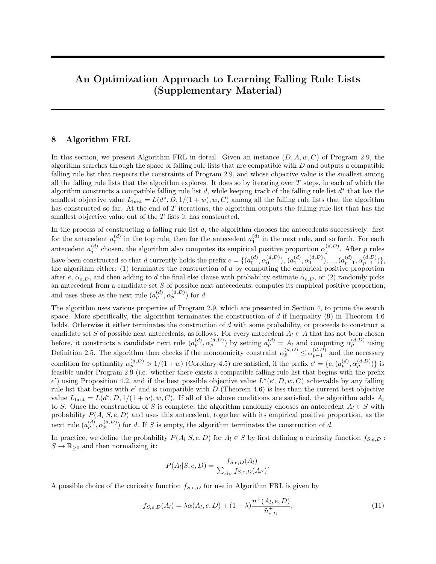Step 5. Determine a lower bound of  $\mathbb{C}(\text{d}^0, \text{D}; 1=(1 + w); w; C; C_1)$  for all  $\text{d}^0 2 S_3(X; \text{D}; \text{e}; 1)$ .

Let  $d^0 = f e$ ; ( $a_{\text{ini}}^{(d^0)}$ (d<sup>0</sup>) (d<sup>0</sup>;D)<br>jej <sup>;</sup> jej  $j_{[q]}^{(d^0;D)}$ );  $j_{[qj+1]}^{(d^0;D)}$ g 2 S<sub>3</sub>(X; D; e; 1). By the de nition of S<sub>3</sub>(X; D; e; 1), we have

$$
\frac{(d^{0};D)}{1\text{e}j} > \frac{1}{1+w} \qquad \frac{(d^{0};D)}{1\text{e}j+1} > \frac{(\text{e};D)}{\min}.
$$
 (84)

We rst prove the following inequality

1 
$$
\frac{(d^0;D)}{j\epsilon j}
$$
 > max( $\frac{(e;D)}{min}$ ; $\sim_{e;D}$ ; $1=(1+w)$ ) = ; (85)

which will be useful later.

To prove (85), we use De nition 2.5 as well as (63) and (65) in Observation 11.3 to obtain (77). Substituting (d<sup>0</sup>;D) < (d<sup>0</sup>;D)<br>jej+1 < jej  $\frac{d^{(d)}(B)}{d^{(e)}}$  from (84) into (77), we obtain  $\sim_{e,D}$   $\lt$   $\frac{d^{(d)}(B)}{d^{(e)}}$  $\frac{d^{0};D}{d^{0}}$ . Combining this inequality with  $\frac{d^{0};D}{d^{0}}$ (u∵,∪) ><br>jej  $\frac{1}{1+w}$  >  $\frac{(e;D)}{min}$  from (84), we obtain (85), as desired.

To determine a lower bound of  $\mathsf{C}(\mathsf{d}^0, \mathsf{D}; 1=(1 + w); w; \mathsf{C}; \mathsf{C}_1)$ , we observe

$$
E(d^{0}, D; 1=(1 + w); w; C; C_{1})
$$
\n
$$
E(e; D; 1=(1 + w); w; C; C_{1}) + \frac{1}{n} n_{j} e_{j} d^{0} D_{j} + \frac{w}{n} n_{j}^{+} e_{j} d^{0} D_{j} + C + C_{1} b_{j} e_{j} d^{0} D_{j} + \frac{(e; D)}{n} n_{j} e_{j} d^{0} D_{j} + C + C_{2} b_{j} d^{0} D_{j} d^{0} D_{j} + \frac{(e; D)}{n} C_{j} G_{j} d^{0} D_{j} + C_{1} C_{j} C_{j} D_{j} + C_{2} C_{j} C_{j} d^{0} D_{j} + C_{3} C_{j} C_{j} d^{0} D_{j} + C_{4} C_{j} d^{0} D_{j} d^{0} D_{j} + C_{5} C_{j} C_{j} d^{0} D_{j} + C_{6} C_{j} C_{j} d^{0} D_{j} d^{0} D_{j} + C_{7} C_{j} C_{j} d^{0} D_{j} d^{0} D_{j} + C_{8} C_{j} C_{j} G_{j} d^{0} D_{j} d^{0} D_{j} + C_{9} C_{j} C_{j} G_{j} d^{0} D_{j} d^{0} D_{j} d^{0} D_{j} + C_{8} C_{j} C_{j} G_{j} d^{0} D_{j} d^{0} D_{j} d^{0} D_{j} d^{0} D_{j} d^{0} D_{j} d^{0} D_{j} d^{0} D_{j} d^{0} D_{j} d^{0} D_{j} d^{0} D_{j} d^{0} D_{j} d^{0} D_{j} d^{0} D_{j} d^{0} D_{j} d^{0} D_{j} d^{0} D_{j} d^{0} D_{j} d^{0} D_{j} d^{0} D_{j} d^{0} D_{j} d^{0} D_{j} d^{0} D_{j} d^{0} D_{j} d^{0} D_{j} d^{0} D_{j} d^{0} D_{j} d^{0} D_{j} d^{0} D_{j} d^{0} D_{j} d^{0} D_{j} d^{0} D_{j} d^{0} D_{j} d^{0} D_{j} d^{0} D_{j} d^{0} D_{j} d^{0} D_{j} d^{0} D_{j} d^{
$$

where the last equality follows by substituting (62) and (63) in Observations 11.1 and 11.2 into (86). Using (85) and applying the same argument as in Step 4, the quantity labeled (87) is also lower-bounded by

$$
\mathsf{E}(e;D;1=(1+w);w;C;C_1) + \inf_{(d^0;D^-): \atop |e|} \inf_{(d^0;D^-): \atop |e|} g(\left(\begin{array}{c} (d^0;D^-) \\ j e j \end{array}\right);
$$

so that we again have

$$
\textstyle \mathop{\text{\rm E}}\nolimits(d^0, D; \ 1 = \!\! (1+w); w; C; C_1) \quad \mathop{\text{\rm E}}\nolimits(e; D; \ 1 = \!\! (1+w); w; C; C_1) + \inf_{(d^0 \text{D}) : \, < \, \bigcup_{j \in j} (d^0 \text{D})} g(\, \begin{array}{c} (d^0 \text{D}) \\ j \text{e} \end{array}) \! : \!
$$

Step 6. Put everything together.

Suppose, rst, that  $S(X; D; e; 1)$  is not empty.

In the case where  $S_1(X; D; e; 1)$  is not empty, we observe the following inequality

$$
\inf_{d^{0}2S_{1}(X;D;e;\ 1)}\mathbb{C}(d^{0},D; 1=(1+w);w;C;C_{1})\quad \ \mathbb{C}(e;D;1=(1+w);w;C;C_{1})+\frac{1}{n}-\frac{1}{\min\limits_{\text{min}}^{(\text{e};D)}}-1\quad \mathsf{A}_{e;D}^{+}+C;\ \ (88)
$$

!

which follows from the de nition of inf being the greatest lower bound, as well as the lower bound of  $E(d^0, D; 1=(1 + w); w; C; C_1)$  for  $d^0 2 S_1(X; D; e; 1)$ , which we have derived in Step 3.

In the case where  $S_2(X; D; e; 1)$  [S  $_3(X; D; e; 1)$  is not empty, we observe the following inequality

$$
\inf_{d^{0}2S_{2}(X;D;e;\ 1)[S_{3}(X;D;e;\ 1)} E(d^{0}; D; 1=(1+w); w; C; C_{1}) E(e; D; 1=(1+w); w; C; C_{1}) + \inf_{1\leq t \leq 1} g(t); \quad (89)
$$

which follows from the de nition of inf being the greatest lower bound, as well as the lower bound of  $\text{tr}(d^0, D; 1=(1 + w); w; C; C_1)$  for  $d^0 2 S_2(X; D; e; 1)$ , which we have derived in Step 4, and the lower bound of  $\mathsf{C}(\mathsf{d}^0, \mathsf{D}; \mathsf{1}=\mathsf{(1+w)}; \mathsf{w}; \mathsf{C}; \mathsf{C}_1)$  for  $\mathsf{d}^0 2 S_3(X; \mathsf{D}; \mathsf{e}; 1)$ , which we have derived in Step 5.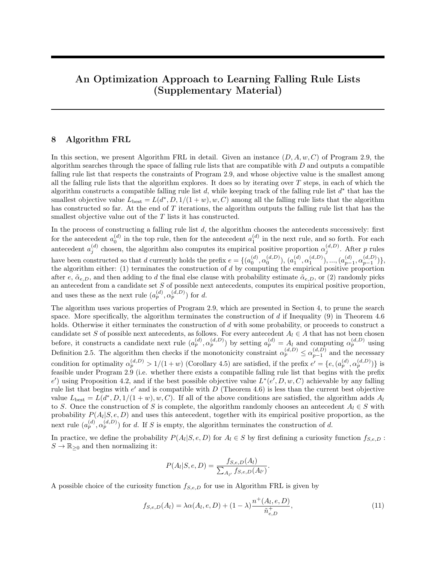To derive a lower bound of  $\text{E}(d^0, D; 1=(1 + w); w; C; C_1)$  for  $d^0 2 S(X; D; e; 1)$ , we further observe that if  $(e;D)$ <br>min max(1=(1 + w);  $\sim_{e;D}$ ) holds, then by our remark in Step 3, S<sub>1</sub>(X; D; e; 1) is empty, and consequently, using (89), we have

$$
\inf_{d^{0}2S\ (X;D;e;\ 1)} E(d^{0},D; 1=(1+w);w;C;C_{1}) = \inf_{d^{0}2S_{2}(X;D;e;\ 1)[S_{3}(X;D;e;\ 1)} E(d^{0},D; 1=(1+w);w;C;C_{1})
$$
  
 
$$
E(e;D; 1=(1+w);w;C;C_{1}) + \inf_{1\leq x\leq 1}(g(1))
$$
 (90)

On the other hand, if  $\frac{(e;D)}{min}$  > max(1=(1 + w);  $\sim_{e;D}$ ) holds, then S<sub>1</sub>(X; D; e; 1) may or may not be empty. If, in addition, both  $S_1(X; D; e; 1)$  and  $S_2(X; D; e; 1)$  [S  $_3(X; D; e; 1)$  are not empty, then using (88) and (89), we have

$$
\inf_{d^{0}2S(X;D;e; 1)} E(d^{0}; D; 1=(1+w); w; C; C_{1})
$$
\n
$$
= \min_{d^{0}2S_{1}(X;D;e; 1)} \inf_{L^{0}(d^{0}; D; 1=(1+w); w; C; C_{1})} E(d^{0}; D; 1=(1+w); w; C; C_{1})
$$
\n
$$
E(e; D; 1=(1+w); w; C; C_{1}) + \min \quad \frac{1}{n} \quad \frac{1}{\binom{e;D}{n}} \quad 1 \quad \mathbf{R}_{e;D}^{+} + C; \quad \inf_{1 \leq i \leq 1} g(i) \quad \text{(91)}
$$

If either S<sub>1</sub>(X; D; e; 1) or S<sub>2</sub>(X; D; e; 1)[S <sub>3</sub>(X; D; e; 1) is empty, then inf <sub>d°2S(X;D;e; 1)</sub>  $\mathsf{E}(\mathsf{d}^0$ , D; 1=(1+ w); w; C; C<sub>1</sub>) is given by either

$$
\inf_{d^0 2S_2(X\,;D;e;\,\,1)[S_{-3}(X\,;D;e;\,\,1)} \mathsf{E}(d^0\!,D;\,1{=}(1+w)\,;w;C;C_1) \quad\text{ or }\quad \inf_{d^0 2S_{-1}(X\,;D;e;\,\,1)} \mathsf{E}(d^0\!,D;\,1{=}(1+w)\,;w;C;C_1);
$$

both of which are lower-bounded by the quantity labeled (91) because of (89) and (88).

Putting these cases together, we have

$$
\inf_{d^{0}2S(X;D;e; 1)} E(d^{0}, D; 1=(1+w); w; C; C_{1})
$$
\n
$$
E(e; D; 1=(1+w); w; C; C_{1})
$$
\n
$$
\sum_{d^{0}2S(X;D;e; 1)} 1 = (1+w); w; C; C_{1})
$$
\n
$$
\sum_{d^{0}2D(X;D;e; D; P)} 1 = \sum_{d^{0}2D(X;D; P)} 1 = \sum_{d^{0}2D(X;D; P)} 1 = \sum_{d^{0}2D(X;D; P)} 1 = \sum_{d^{0}2D(X;D; P)} 1 = \sum_{d^{0}2D(X;D; P)} 1 = \sum_{d^{0}2D(X;D; P)} 1 = \sum_{d^{0}2D(X;D; P)} 1 = \sum_{d^{0}2D(X;D; P)} 1 = \sum_{d^{0}2D(X;D; P)} 1 = \sum_{d^{0}2D(X;D; P)} 1 = \sum_{d^{0}2D(X;D; P)} 1 = \sum_{d^{0}2D(X;D; P)} 1 = \sum_{d^{0}2D(X;D; P)} 1 = \sum_{d^{0}2D(X;D; P)} 1 = \sum_{d^{0}2D(X;D; P)} 1 = \sum_{d^{0}2D(X;D; P)} 1 = \sum_{d^{0}2D(X;D; P)} 1 = \sum_{d^{0}2D(X;D; P)} 1 = \sum_{d^{0}2D(X;D; P)} 1 = \sum_{d^{0}2D(X;D; P)} 1 = \sum_{d^{0}2D(X;D; P)} 1 = \sum_{d^{0}2D(X;D; P)} 1 = \sum_{d^{0}2D(X;D; P)} 1 = \sum_{d^{0}2D(X;D; P)} 1 = \sum_{d^{0}2D(X;D; P)} 1 = \sum_{d^{0}2D(X;D; P)} 1 = \sum_{d^{0}2D(X;D; P)} 1 = \sum_{d^{0}2D(X;D; P)} 1 = \sum_{d^{0}2D(X;D; P)} 1 = \sum_{d^{0}2D(X;D; P)} 1 = \sum_{d^{0}2D(X;D; P)} 1 = \sum_{d^{0}2D(X;D; P)} 1 = \sum_{d^{0}2D(X;D; P)} 1 = \sum_{d^{0}2D(X;D; P)} 1 = \sum_{d^{0}
$$

Combining (67), (72), (73), and (92), we have

$$
\begin{array}{lcl}\n\mathsf{L}(\mathsf{d};\mathsf{D};\,1=(1+w);w;\mathsf{C};\mathsf{C}_1) \\
& \qquad \qquad \mathsf{L}(\mathsf{e};\mathsf{D};\,1=(1+w);w;\mathsf{C};\mathsf{C}_1) \\
& \qquad \qquad \mathsf{sum}\n\end{array}
$$
\n
$$
\begin{array}{lcl}\n\mathsf{sum} & \qquad 1 & \mathsf{R}_{e;\mathsf{D}}^+ + \mathsf{C};\,\mathsf{inf} \quad \mathsf{R}_{e;\mathsf{D}} + \mathsf{C};\,\mathsf{inf} \quad \mathsf{R}_{e;\mathsf{D}}^+ + \mathsf{C}_1\mathsf{b}_{\neg e;\mathsf{D}} & \mathsf{min} \quad \mathsf{C}_+ \quad \mathsf{in} \\
& \qquad \qquad \mathsf{max}\n\end{array}
$$
\n
$$
\begin{array}{lcl}\n\mathsf{sum} & \qquad \mathsf{min} \quad \mathsf{R}_{e;\mathsf{D}}^+ + \mathsf{C}_1\mathsf{b}_{\neg e;\mathsf{D}} & \qquad \qquad \mathsf{min} \quad \mathsf{C}_+ \\
& \qquad \qquad \mathsf{sum}\n\end{array}
$$
\n
$$
\begin{array}{lcl}\n\mathsf{sum} & \qquad \mathsf{min} \quad \mathsf{min} \quad \mathsf{R}_{e;\mathsf{D}}^+ + \mathsf{C}_1\mathsf{b}_{\neg e;\mathsf{D}} & \qquad \qquad \mathsf{min} \quad \mathsf{R}_{e;\mathsf{D}}^+ \\
& \qquad \qquad \mathsf{min} \quad \mathsf{min} \quad \mathsf{R}_{e;\mathsf{D}}^+ + \mathsf{C}_1\mathsf{b}_{\neg e;\mathsf{D}} & \qquad \qquad \mathsf{min} \quad \mathsf{C}_+ \quad \mathsf{in} \\
& \qquad \qquad \mathsf{min} \quad \mathsf{min} \quad \mathsf{R}_{e;\mathsf{D}}^+ + \mathsf{C}_1\mathsf{b}_{\neg e;\mathsf{D}} & \qquad \qquad \mathsf{min} \quad \mathsf{C}_+ \\
& \qquad \qquad \mathsf{sum}\n\end{array}
$$
\n
$$
\begin{array}{lcl}\n\mathsf{sum}
$$

Note that the quantity labeled (93) is precisely equal to  $\Gamma$  (e; D; w; C; C<sub>1</sub>) given by Equation (44) in the statement of the theorem, because:

(i) if  $\frac{(e;D)}{min}$  > max(1=(1 + w);  $\sim_{e;D}$ ) holds, then the rst term in the minimum on the right-hand side of Equation (44) is precisely  $\frac{1}{n}$   $\frac{1}{\left(\frac{n}{\min}\right)}$  1  $\mathsf{R}_{e;D}^+$  + C;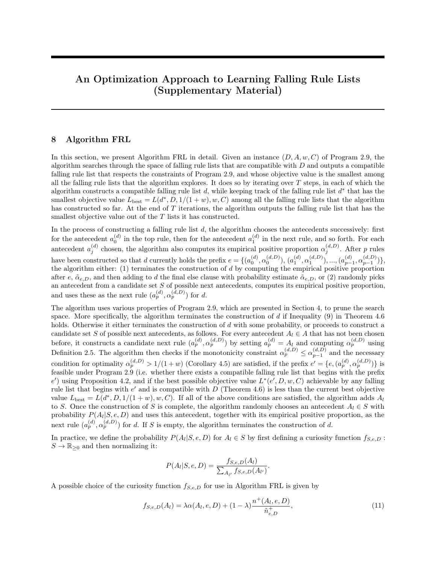(ii) if  $(e;D)$   $(m \ge 1)$  max(1=(1 + w);  $\sim_{e;D}$ ) does not hold, then we have  $(e;D)$   $(1+ W)$  or  $(e;D)$   $(m \ge 1)$  $\sim_{e;D}$ ) in the former case where  $_{min}^{(e;D)}$  1=(1 + w) holds, we have

$$
\frac{1}{n} \quad \frac{1}{\overset{(e;D)}{\underset{min}{}}}\quad \, 1 \quad \mathsf{R}_{e;D}^+ \quad \ \ \frac{w}{n}\mathsf{R}_{e;D}^+\,;
$$

which implies that the rst term in the minimum on the right-hand side of Equation (44) is bounded below by  $\frac{w}{n}$   $A_{e;D}^+$  +  $C_1$   $b_{e;D}$  $\binom{e;D}{min}$  c<sub>+</sub>, and thus has no in uence over the computation of the minimum; in the latter case where  $(e, D)$  $\sim_{e;D}$ ) holds, the rst term in the minimum on the right-hand side of Equation (44) is clearly bounded below by $\frac{w}{n}R_{e;D}^+$  + C<sub>1</sub>b<sub>~e;D</sub>  $\qquad$   $_{min}^{(e;D)}$  c<sub>+</sub>, and again has no in uence over the computation of the minimum.

This proves that  $\Gamma$  (e; D; w; C; C<sub>1</sub>) given by Equation (44) is indeed a lower bound of  $\Gamma$ (d; D; 1=(1 + w); w; C; C<sub>1</sub>) for d 2 D (X; D; e), in the case whereS(X; D; e; 1) is not empty. In the case whereS(X; D; e; 1) is empty, using (67) and (73), along with the fact  $D(X; D; e; 0) = f e g$ , we have

$$
\begin{aligned} \mathsf{E}(\mathsf{d};\mathsf{D};\,1=(1+w);\,w;\mathsf{C};\mathsf{C}_1) & \underset{\mathsf{d}^0\mathsf{2D}\,(X\,;\mathsf{D};\mathsf{e};\,0)}{\inf} \mathsf{E}(\mathsf{d}^0;\mathsf{D};\,1=(1+w);\,w;\mathsf{C};\mathsf{C}_1) \\ & = \mathsf{E}(\mathsf{e};\mathsf{D};\,1=(1+w);\,w;\mathsf{C};\mathsf{C}_1) \\ & = \mathsf{E}(\mathsf{e};\mathsf{D};\,1=(1+w);\,w;\mathsf{C};\mathsf{C}_1) + \min \quad \frac{w}{n}\mathsf{A}_{\mathsf{e};\mathsf{D}}^+\,;\frac{1}{n}\mathsf{A}_{\mathsf{e};\mathsf{D}} \quad + \mathsf{C}_1\mathsf{b}_{\mathsf{f}}\mathsf{e}_{\mathsf{f}}\mathsf{D} \quad \overset{(\mathsf{e};\mathsf{D})}{\min} \mathsf{c}_+\,; \end{aligned}
$$

where the last quantity is clearly lower-bounded by  $\Gamma$  (e; D; w; C; C<sub>1</sub>) de ned in Equation (44). We have now proven that  $\Gamma$  (e; D; w; C; C<sub>1</sub>) given by Equation (44) is a lower bound of  $\Gamma$ (d; D; 1=(1 + w); w; C; C<sub>1</sub>) for  $d 2 D(X; D; e)$ .

Finally, we compute inf  $\frac{1}{2}$   $\frac{1}{2}$  g() analytically. Since the derivative of g is given by

$$
g^{0}(-) = \frac{R_{e;D}^{+}}{n^{2}} + C_{1};
$$

and must be positive, the only stationary point of q that could satisfy the constraint  $\epsilon$  1 is given by

$$
= \frac{s}{\frac{R_{e;D}^+}{C_1 n}};
$$

and the second derivative test con rms that is a local minimum of g. It then follows that inf  $\frac{1}{1}$  () is given by  $\sqrt{ }$ 

$$
\inf_{x < 1} g(1) = \begin{cases} g(1) & \text{if } < 1 \\ \min(g(1)) & \text{otherwise} \end{cases}
$$

 $\Box$ 

### 12 Additional Rule Lists Demonstrating the Eect of Varying Parameter Values

In this section, we include some additional rule lists created using Algorithm FRL and Algorithm softFRL with varying parameter values. The default parameter values we used in creating these rule lists are  $= 7$ ,  $C = 0.000001$  and  $C_1 = 0.5$ . In each of the following subsections, the rule lists were created with default parameter values, other than the parameter that was being varied.

#### 12.1 E ect of Varying w on Algorithm FRL

Running Algorithm FRL with  $w = 1$  on the bank-full dataset produces the following falling rule list: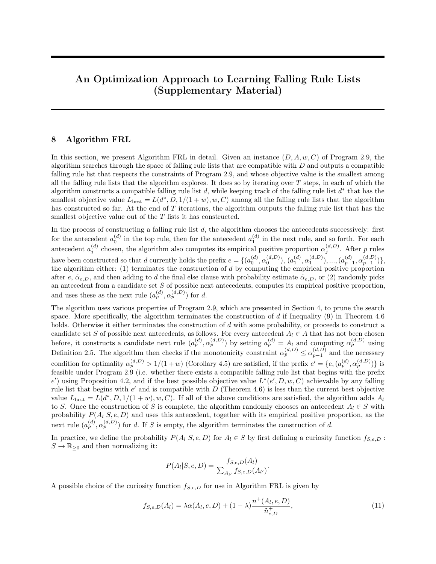|                | antecedent                              |                       | probability | positive<br>support | negative<br>support |
|----------------|-----------------------------------------|-----------------------|-------------|---------------------|---------------------|
| IF             | poutcome=success<br>AND loan=no         | THEN success prob. is | 0.65        | 934                 | 495                 |
| <b>ELSE IF</b> | poutcome=success<br>AND marital=married | THEN success prob. is | 0.62        | 31                  | 19                  |
| ELSE IF        | poutcome=success<br>AND campaign=1      | THEN success prob. is | 0.56        | 9                   |                     |
| <b>ELSE</b>    |                                         | success prob. is      | 0.10        | 4315                | 39401               |

Table 2: Falling rule list for bank-full dataset, created using Algorithm FRL with  $w = 1$ 

Running Algorithm FRL with  $w = 3$  on the bank-full dataset produces the following falling rule list:

|                | antecedent                                                     |                       | probability | positive<br>support | negative<br>support |
|----------------|----------------------------------------------------------------|-----------------------|-------------|---------------------|---------------------|
| IF             | poutcome=success<br>AND previous<br>$\overline{\phantom{0}}^2$ | THEN success prob. is | 0.65        | 677                 | 361                 |
| <b>ELSE IF</b> | poutcome=success<br>AND campaign=1                             | THEN success prob. is | 0.65        | 185                 | 99                  |
| <b>ELSE IF</b> | poutcome=success<br>AND loan=no                                | THEN success prob. is | 0.63        | 111                 | 65                  |
| <b>ELSE IF</b> | poutcome=success<br>AND marital=married                        | THEN success prob. is | 0.56        | 5                   | 4                   |
| <b>ELSE IF</b> | 60<br>age $< 100$<br>AND housing=no                            | THEN success prob. is | 0.30        | 390                 | 919                 |
| ELSE           |                                                                | success prob. is      | 0.09        | 3921                | 38474               |

Table 3: Falling rule list for bank-full dataset, created using Algorithm FRL with  $w = 3$ 

Running Algorithm FRL with  $w = 5$  on the bank-full dataset produces the following falling rule list:

|                | antecedent                                   |                       | probability | positive<br>support | negative<br>support |
|----------------|----------------------------------------------|-----------------------|-------------|---------------------|---------------------|
| IF             | poutcome=success<br>AND default=no           | THEN success prob. is | 0.65        | 978                 | 531                 |
| <b>ELSE IF</b> | 60<br>age $< 100$<br>AND loan=no             | THEN success prob. is | 0.29        | 426                 | 1030                |
| ELSE IF        | age $< 30$<br>17<br>AND housing=no           | THEN success prob. is | 0.25        | 504                 | 1539                |
| <b>ELSE IF</b> | previous<br>$\overline{2}$<br>AND housing=no | THEN success prob. is | 0.23        | 242                 | 796                 |
| ELSE           |                                              | success prob. is      | 0.08        | 3139                | 36026               |

Table 4: Falling rule list for bank-full dataset, created using Algorithm FRL with  $w = 5$ 

Running Algorithm FRL with  $w = 7$  on the bank-full dataset produces the following falling rule list: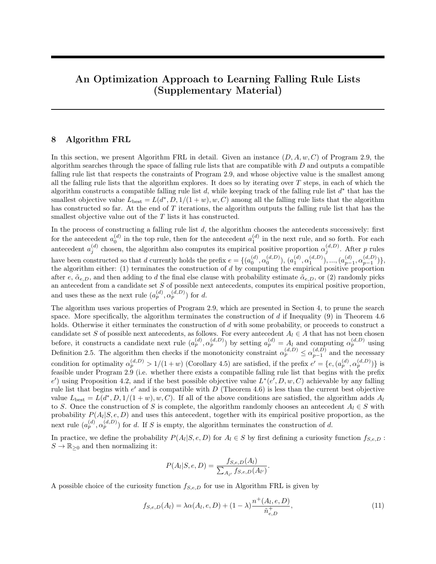|                | antecedent                                   |                       | probability | positive<br>support | negative<br>support |
|----------------|----------------------------------------------|-----------------------|-------------|---------------------|---------------------|
| IF             | poutcome=success<br>AND default=no           | THEN success prob. is | 0.65        | 978                 | 531                 |
| ELSE IF        | 60<br>age $< 100$<br>AND default=no          | THEN success prob. is | 0.28        | 434                 | 1113                |
| <b>ELSE IF</b> | 17<br>age $< 30$<br>AND housing=no           | THEN success prob. is | 0.25        | 504                 | 1539                |
| <b>ELSE IF</b> | previous<br>$\overline{2}$<br>AND housing=no | THEN success prob. is | 0.23        | 242                 | 794                 |
| <b>ELSE IF</b> | $campa$ ign=1<br>AND housing=no              | THEN success prob. is | 0.14        | 658                 | 4092                |
| ELSE IF        | 2 AND<br>previous                            | THEN success prob. is | 0.13        | 108                 | 707                 |
| <b>ELSE</b>    | education=tertiary                           | success prob. is      | 0.07        | 2365                | 31146               |

Table 5: Falling rule list for bank-full dataset, created using Algorithm FRL with  $w = 7$ 

As the positive class weightw increases, the falling rule list created using Algorithm FRL tends to have rules whose probability estimates are smaller. This is not surprising a larger value ofw means a smaller threshold  $= 1 = (1 + w)$ , and by including rules whose probability estimates are not much larger than the threshold, the falling rule list produced by the algorithm will more likely predict positive, thereby reducing the (weighted) empirical risk of misclassi cation. Note that Algorithm FRL will never include rules whose probability estimates are less than the threshold (see Corollary 4.5).

12.2 E ect of Varying w on Algorithm softFRL

Running Algorithm softFRL with  $w = 1$  on the bank-full dataset produces the following softly falling rule list:

|                | antecedent                              |                    | probability | positive<br>proportion | positive<br>support | negative<br>support |
|----------------|-----------------------------------------|--------------------|-------------|------------------------|---------------------|---------------------|
| IF.            | poutcome=success<br>AND campaign=1      | THEN prob. is      | -0.67       | 0.67                   | 557                 | 280                 |
| <b>ELSE IF</b> | poutcome=success<br>AND marital=married | THEN prob. is 0.65 |             | 0.65                   | 263                 | 143                 |
| <b>ELSE IF</b> | poutcome=success<br>AND loan=no         | THEN prob. is      | - 0.61      | 0.61                   | 154                 | 98                  |
| <b>ELSE</b>    |                                         | prob. is           | 0.10        | 0.10                   | 4315                | 39401               |

Table 6: Softly falling rule list for bank-full dataset, created using Algorithm softFRL with  $w = 1$ 

Note that there is an extra column positive proportion in a table showing a softly falling rule list. This column gives the empirical positive proportion of each antecedent in the softly falling rule list. When the probability estimate of a rule is less than the positive proportion of the antecedent in the same rule, we know that the softly falling rule list has been transformed from a non-falling compatible rule list, and that the monotonicity penalty has been incurred in the process of running Algorithm softFRL.

Running Algorithm softFRL with  $w = 3$  on the bank-full dataset produces the following softly falling rule list: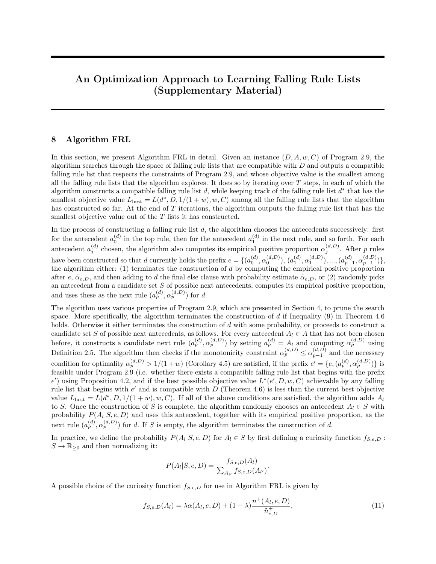|                | antecedent                                                     |               | probability | positive<br>proportion | positive<br>support | negative<br>support |
|----------------|----------------------------------------------------------------|---------------|-------------|------------------------|---------------------|---------------------|
| IF             | poutcome=success<br>AND marital=married                        | THEN prob. is | 0.65        | 0.65                   | 547                 | 289                 |
| ELSE IF        | poutcome=success<br>AND loan=no                                | THEN prob. is | 0.65        | 0.65                   | 418                 | 225                 |
| ELSE IF        | poutcome=success<br>AND campaign=1                             | THEN prob. is | 0.56        | 0.56                   | 9                   | 7                   |
| ELSE IF        | poutcome=success<br>AND previous<br>$\overline{\phantom{0}}^2$ | THEN prob. is | 0.33        | 0.33                   | 4                   | 8                   |
| <b>ELSE IF</b> | age $< 100$<br>60<br>AND housing=no                            | THEN prob. is | 0.30        | 0.30                   | 390                 | 919                 |
| <b>ELSE IF</b> | previous<br>-2                                                 | THEN prob. is | 0.15        | 0.15                   | 281                 | 1559                |
| <b>ELSE</b>    | AND campaign=1                                                 | prob. is      | 0.09        | 0.09                   | 3640                | 36915               |

Table 7: Softly falling rule list for bank-full dataset, created using Algorithm soft FRL with  $w = 3$ 

Running Algorithm softFRL with w = 5 on the bank-full dataset produces the following softly falling rule list:

|                | antecedent                               |                    | probability | positive   | positive | negative |
|----------------|------------------------------------------|--------------------|-------------|------------|----------|----------|
|                |                                          |                    |             | proportion | support  | support  |
| IF.            | poutcome=success                         | THEN prob. is      | 0.65        | 0.65       | 978      | 533      |
| ELSE IF        | 60<br>age $< 100$<br>AND loan=no         | THEN prob. is      | 0.29        | 0.29       | 426      | 1030     |
| <b>ELSE IF</b> | poutcome=unknown<br>AND contact=cellular | THEN prob. is 0.11 |             | 0.11       | 2380     | 18659    |
| <b>ELSE</b>    |                                          | prob. is           | 0.07        | 0.07       | 1505     | 19700    |

Table 8: Softly falling rule list for bank-full dataset, created using Algorithm softFRL with  $w = 5$ 

Running Algorithm softFRL with  $w = 7$  on the bank-full dataset produces the following softly falling rule list:

|                | antecedent        |                    | probability | positive   | positive | negative |
|----------------|-------------------|--------------------|-------------|------------|----------|----------|
|                |                   |                    |             | proportion | support  | support  |
| IF             | poutcome=success  | THEN prob. is 0.65 |             | 0.65       | 978      | 533      |
| ELSE IF        | age $< 100$<br>60 | THEN prob. is      | 0.28        | 0.28       | 435      | 1120     |
| ELSE IF        | marital=single    | THEN prob. is      | 0.18        | 0.18       | 970      | 4504     |
|                | AND housing=no    |                    |             |            |          |          |
| <b>ELSE IF</b> | contact=cellular  | THEN prob. is      | 0.10        | 0.10       | 2255     | 19970    |
|                | AND default=no    |                    |             |            |          |          |
| <b>ELSE</b>    |                   | prob. is           | 0.05        | 0.05       | 651      | 13795    |

Table 9: Softly falling rule list for bank-full dataset, created using Algorithm softFRL with  $w = 7$ 

As the positive class weightw increases, the softly falling rule list created using Algorithm softFRL also tends to have rules whose probability estimates are smaller. This is again not surprising a larger value of w means a smaller threshold =  $1 = (1 + w)$ , and by including rules whose probability estimates are not much larger than the threshold, the softly falling rule list produced by the algorithm will more likely predict positive, thereby reducing the (weighted) empirical risk of misclassication.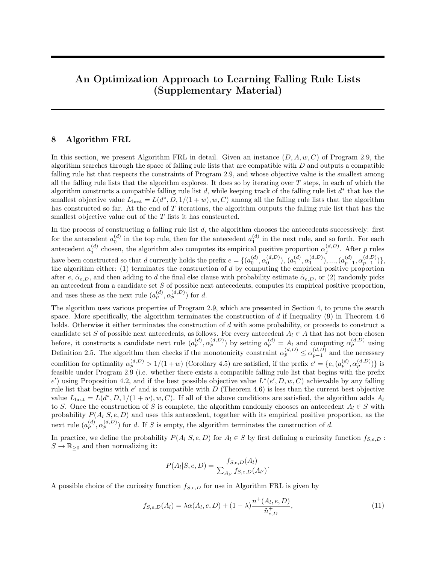12.3 E ect of Varying C on Algorithm FRL

Running Algorithm FRL with  $C = 0:000001$  the bank-full dataset produces the following falling rule list:

|                | antecedent                                   |                       | probability | positive<br>support | negative<br>support |
|----------------|----------------------------------------------|-----------------------|-------------|---------------------|---------------------|
| IF             | poutcome=success<br>AND default=no           | THEN success prob. is | 0.65        | 978                 | 531                 |
| <b>ELSE IF</b> | 60<br>age $< 100$<br>AND default=no          | THEN success prob. is | 0.28        | 434                 | 1113                |
| <b>ELSE IF</b> | 17<br>age $< 30$<br>AND housing=no           | THEN success prob. is | 0.25        | 504                 | 1539                |
| <b>ELSE IF</b> | previous<br>$\overline{2}$<br>AND housing=no | THEN success prob. is | 0.23        | 242                 | 794                 |
| <b>ELSE IF</b> | $campa$ ign=1<br>AND housing=no              | THEN success prob. is | 0.14        | 658                 | 4092                |
| <b>ELSE IF</b> | 2 AND<br>previous<br>education=tertiary      | THEN success prob. is | 0.13        | 108                 | 707                 |
| <b>ELSE</b>    |                                              | success prob. is      | 0.07        | 2365                | 31146               |

Table 10: Falling rule list for bank-full dataset, created using Algorithm FRL with  $C = 0.000001$ 

Running Algorithm FRL with  $C = 0:01$  on the bank-full dataset produces the following falling rule list:

|                | antecedent                               |                       | probability | positive<br>support | negative<br>support |
|----------------|------------------------------------------|-----------------------|-------------|---------------------|---------------------|
| IF             | poutcome=success<br>AND default=no       | THEN success prob. is | 0.65        | 978                 | 531                 |
| <b>ELSE IF</b> | 60<br>age $< 100$<br>AND loan=no         | THEN success prob. is | 0.29        | 426                 | 1030                |
| ELSE IF        | 17<br>age $< 30$<br>AND contact=cellular | THEN success prob. is | 0.20        | 653                 | 2621                |
| ELSE IF        | $campa$ ign=1<br>AND housing=no          | THEN success prob. is | 0.15        | 803                 | 4634                |
| ELSE           |                                          | success prob. is      | 0.07        | 2429                | 31106               |

Table 11: Falling rule list for bank-full dataset, created using Algorithm FRL with  $C = 0.01$ 

Running Algorithm FRL with  $C = 0.1$  on the bank-full dataset produces the following falling rule list:

|             | antecedent                         |                            | probability | positive | negative |
|-------------|------------------------------------|----------------------------|-------------|----------|----------|
|             |                                    |                            |             | support  | support  |
| ΙF          | housing=no<br>AND contact=cellular | THEN success prob. is 0.20 |             | 2883     | 11799    |
| <b>ELSE</b> |                                    | success prob. is           | 0.08        | 2406     | 28123    |

Table 12: Falling rule list for bank-full dataset, created using Algorithm FRL with  $C = 0:1$ 

As the cost C of adding a rule increases, the size of the falling rule list created by Algorithm FRL decreases, as expected.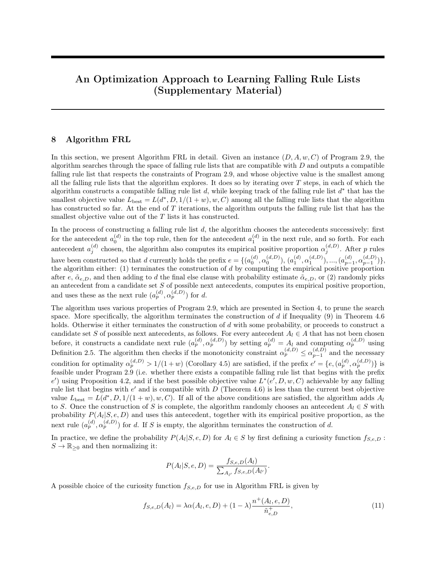#### 12.4 E ect of Varying C on Algorithm softFRL

Running Algorithm softFRL with  $C = 0.000001$  on the bank-full dataset produces the following softly falling rule list:

|                | antecedent        |                    | probability | positive   | positive | negative |
|----------------|-------------------|--------------------|-------------|------------|----------|----------|
|                |                   |                    |             | proportion | support  | support  |
| IF.            | poutcome=success  | THEN prob. is 0.65 |             | 0.65       | 978      | 533      |
| ELSE IF        | age $< 100$<br>60 | THEN prob. is      | 0.28        | 0.28       | 435      | 1120     |
| ELSE IF        | marital=single    | THEN prob. is      | 0.18        | 0.18       | 970      | 4504     |
|                | AND housing=no    |                    |             |            |          |          |
| <b>ELSE IF</b> | contact=cellular  | THEN prob. is      | 0.10        | 0.10       | 2255     | 19970    |
|                | AND default=no    |                    |             |            |          |          |
| <b>ELSE</b>    |                   | prob. is           | 0.05        | 0.05       | 651      | 13795    |

Table 13: Softly falling rule list for bank-full dataset, created using Algorithm softFRL with  $C = 0.000001$ 

Running Algorithm softFRL with  $C = 0:01$  on the bank-full dataset produces the following softly falling rule list:

|                | antecedent           |                    | probability | positive<br>proportion | positive<br>support | negative |
|----------------|----------------------|--------------------|-------------|------------------------|---------------------|----------|
|                |                      |                    |             |                        |                     | support  |
| IF             | poutcome=success     | THEN prob. is      | 0.65        | 0.65                   | 934                 | 495      |
|                | AND loan=no          |                    |             |                        |                     |          |
| ELSE IF        | housing=no           | THEN prob. is 0.16 |             | 0.16                   | 2245                | 11535    |
|                | AND contact=cellular |                    |             |                        |                     |          |
| <b>ELSE IF</b> | housing=yes          | THEN prob. is      | - 0.07      | 0.07                   | 1677                | 22591    |
|                | AND default=no       |                    |             |                        |                     |          |
| <b>ELSE</b>    |                      | prob. is           | 0.07        | 0.08                   | 433                 | 5301     |
|                |                      |                    |             |                        |                     |          |

Table 14: Softly falling rule list for bank-full dataset, created using Algorithm softFRL with  $C = 0.01$ 

Running Algorithm softFRL with  $C = 0.1$  on the bank-full dataset produces the following softly falling rule list:

|             | antecedent                         |                    | probability | positive   | positive | negative |
|-------------|------------------------------------|--------------------|-------------|------------|----------|----------|
|             |                                    |                    |             | proportion | support  | support  |
| IF          | housing=no<br>AND contact=cellular | THEN prob. is 0.20 |             | 0.20       | 2883     | 11799    |
| <b>ELSE</b> |                                    | prob. is           | 0.08        | 0.08       | 2406     | 28123    |

Table 15: Softly falling rule list for bank-full dataset, created using Algorithm softFRL with C = 0:1

As the cost C of adding a rule increases, the size of the softly falling rule list created by Algorithm softFRL decreases, as expected.

12.5 E ect of Varying  $C_1$  on Algorithm softFRL

Running Algorithm softFRL with  $C_1$  2 f 0:005; 0:05; 0:5g on the bank-full dataset produces the softly falling rule lists shown in Tables 16, 17, and 18.

When the monotonicity penalty  $C_1$  is small, the softly falling rule list created by Algorithm softFRL exhibits the pulling down of the empirical positive proportion for a substantial number of rules, because with little monotonicity penalty the algorithm will more likely choose a rule list that frequently violates monotonicity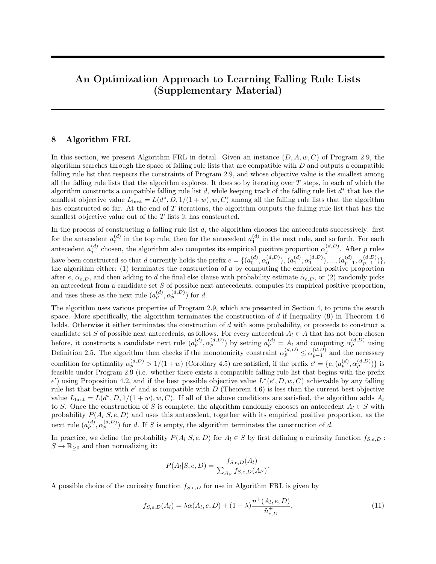|                        | antecedent                       |               | probability | positive   | positive       | negative |
|------------------------|----------------------------------|---------------|-------------|------------|----------------|----------|
|                        |                                  |               |             | proportion | support        | support  |
| $\overline{\text{IF}}$ | poutcome=success                 | THEN prob. is | 0.65        | 0.65       | 978            | 533      |
| ELSE IF                | $60 \leq age < 100$              | THEN prob. is | $0.30\,$    | 0.30       | 599            | 1177     |
|                        | $AND$ housing=no                 |               |             |            |                |          |
| <b>ELSE IF</b>         | marital=single                   | THEN prob. is | 0.18        | 0.18       | 970            | 4504     |
|                        | $AND$ housing=no                 |               |             |            |                |          |
| <b>ELSE IF</b>         | $\text{marital} = \text{single}$ | THEN prob. is | 0.08        | 0.08       | 456            | 4936     |
|                        | AND previous= $0$                |               |             |            |                |          |
| ELSE IF                | campaign $\geq 3$                | THEN prob. is | 0.06        | 0.06       | 323            | 5294     |
|                        | AND education=secondary          |               |             |            |                |          |
| <b>ELSE IF</b>         | $30 \leq age < 40$               | THEN prob. is | 0.06        | 0.08       | 568            | 6849     |
|                        | AND previous= $0$                |               |             |            |                |          |
| ELSE IF                | $education=tertiary$             | THEN prob. is | 0.06        | 0.14       | 361            | 2237     |
|                        | AND housing=no                   |               |             |            |                |          |
| <b>ELSE IF</b>         | $loan = yes$                     | THEN prob. is | 0.05        | 0.05       | 106            | 1972     |
|                        | AND previous= $0$                |               |             |            |                |          |
| <b>ELSE IF</b>         | education=secondary              | THEN prob. is | 0.05        | 0.09       | 595            | 5779     |
|                        | $AND$ default=no                 |               |             |            |                |          |
| ELSE IF                | $campingn=1$                     | THEN prob. is | 0.05        | 0.08       | 233            | 2564     |
| <b>ELSE IF</b>         | housing=no                       | THEN prob. is | 0.05        | $0.05\,$   | 68             | 1176     |
|                        | AND previous= $0$                |               |             |            |                |          |
| ELSE IF                | job=management                   | THEN prob. is | 0.05        | 0.10       | 75             | 693      |
|                        | $AND contact = cellular$         |               |             |            |                |          |
| <b>ELSE IF</b>         | job=technician                   | THEN prob. is | 0.05        | 0.07       | 10             | 143      |
|                        | AND poutcome=unknown             |               |             |            |                |          |
| <b>ELSE IF</b>         | marital=married                  | THEN prob. is | 0.05        | 0.06       | 110            | 1841     |
| <b>ELSE IF</b>         | campaign $\geq 3$                | THEN prob. is | 0.05        | 0.06       | 16             | 238      |
|                        | AND housing=yes                  |               |             |            |                |          |
| ELSE IF                | $\text{marital} = \text{single}$ | THEN prob. is | 0.05        | 0.13       | 13             | 91       |
|                        | AND housing=yes                  |               |             |            |                |          |
| <b>ELSE IF</b>         | housing=yes                      | THEN prob. is | 0.05        | 0.10       | $8\,$          | 69       |
|                        | AND contact=cellular             |               |             |            |                |          |
| <b>ELSE IF</b>         | job=blue-collar                  | THEN prob. is | 0.05        | 0.16       | $\overline{4}$ | 21       |
|                        | AND loan=no                      |               |             |            |                |          |
| <b>ELSE</b>            |                                  | prob. is      | 0.05        | 0.07       | $\bf 5$        | 63       |

Table 16: Softly falling rule list for bank-full dataset, created using Algorithm softFRL with  $C_1 = 0.005$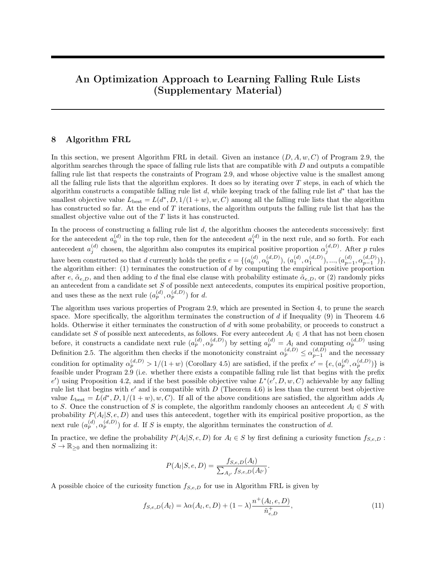|                | antecedent                |               | probability | positive<br>proportion | positive<br>support | negative<br>support |
|----------------|---------------------------|---------------|-------------|------------------------|---------------------|---------------------|
| IF             | poutcome=success          | THEN prob. is | 0.65        | 0.65                   | 978                 | 531                 |
|                | $AND$ default=no          |               |             |                        |                     |                     |
| <b>ELSE IF</b> | housing=yes               | THEN prob. is | 0.07        | 0.07                   | 1686                | 22974               |
| <b>ELSE IF</b> | $50 \leq \text{age} < 60$ | THEN prob. is | 0.07        | 0.09                   | 367                 | 3806                |
|                | AND poutcome=unknown      |               |             |                        |                     |                     |
| <b>ELSE IF</b> | $contact = cellular$      | THEN prob. is | 0.07        | 0.18                   | 1927                | 8961                |
|                | $AND$ default=no          |               |             |                        |                     |                     |
| <b>ELSE IF</b> | $\text{campalign}=1$      | THEN prob. is | 0.07        | 0.08                   | 126                 | 1374                |
|                | AND poutcome=unknown      |               |             |                        |                     |                     |
| <b>ELSE IF</b> | campaign $\geq 3$         | THEN prob. is | 0.07        | 0.08                   | 93                  | 1110                |
|                | AND $\lambda$             |               |             |                        |                     |                     |
| <b>ELSE IF</b> | $\text{campalign}=2$      | THEN prob. is | 0.07        | 0.09                   | 18                  | 192                 |
|                | AND education=tertiary    |               |             |                        |                     |                     |
| <b>ELSE IF</b> | $\alpha$ <sub>1</sub>     | THEN prob. is | 0.07        | 0.10                   | 72                  | 648                 |
| <b>ELSE</b>    |                           | prob. is      | 0.06        | 0.06                   | 22                  | 326                 |

Table 17: Softly falling rule list for bank-full dataset, created using Algorithm softFRL with  $C_1 = 0.05$ 

|                | antecedent                       |                    | probability | positive   | positive | negative |
|----------------|----------------------------------|--------------------|-------------|------------|----------|----------|
|                |                                  |                    |             | proportion | support  | support  |
| ΙF             | poutcome=success                 | THEN prob. is      | 0.65        | 0.65       | 978      | 533      |
| ELSE IF        | $60 \leq age < 100$              | THEN prob. is      | 0.28        | 0.28       | 435      | 1120     |
| <b>ELSE IF</b> | $\text{marital} = \text{single}$ | THEN prob. is 0.18 |             | 0.18       | 970      | 4504     |
|                | $AND$ housing=no                 |                    |             |            |          |          |
| <b>ELSE IF</b> | $contact = cellular$             | THEN prob. is 0.10 |             | 0.10       | 2255     | 19970    |
|                | $AND$ default=no                 |                    |             |            |          |          |
| ELSE           |                                  | prob. is           | 0.05        | 0.05       | 651      | 13795    |
|                |                                  |                    |             |            |          |          |

Table 18: Softly falling rule list for bank-full dataset, created using Algorithm softFRL with  $C_1 = 0.5$ 

but that has a small empirical risk on the training set, in the hope of getting more of the training instances "right". This is also why the softly falling rule list tends to be longer when  $C_1$  is small: in minimizing the empirical risk on the training set with little regularization (the default  $C = 0.000001$  is very small), the algorithm tends to overfit the training data.

When  $C_1$  becomes larger, the softly falling rule list created by Algorithm softFRL exhibits less "pulling down" of the empirical positive proportion. This is consistent with our expectation that when  $C_1$  is larger, the penalty for violating monotonicity is higher and the algorithm will less likely choose a rule list that frequently violates monotonicity.

# 13 Additional Experiments Comparing Algorithm FRL and Algorithm softFRL to Other Classification Algorithms

Figure [3](#page-34-0) shows the ROC curves on the test set using different values of w, for four additional training-test splits. As we can see, the curves in Figure [3](#page-34-0) lie close to each other, again demonstrating the effectiveness of our algorithms in producing falling rule lists that, when used as classifiers, are comparable with classifiers produced by other widely used classification algorithms, in a cost-sensitive setting.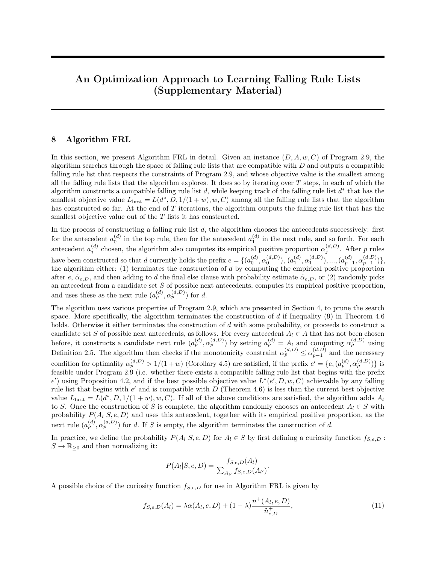<span id="page-34-0"></span>



(a) ROC curves on the test set using dievent *w* values for the first additional training-test split

(b) ROC curves on the test set using dievent *w* values for the second additional training-test split



(c) ROC curves on the test set using di erent *w* values for the third additional training-test split (d) ROC curves on the test set using di erent *w* values for the fourth additional training-test split

Figure 3: ROC curves on the test set using different  $w$  values for four additional training-test splits

## 14 Additional Experiments Comparing Bayesian Approach to Our Optimization Approach

We conducted a set of experiments comparing the Bayesian approach to our optimization approach. We trained falling rule lists on the entire bank-full dataset using both the Bayesian approach and our optimization approach (Algorithm FRL), and plotted the weighted training loss over real runtime. In particular, for each positive class weight  $w \in \{1, 3, 5, 7\}$ , we set the threshold to  $1/(1+w)$  (By Theorem 2.8, this is the threshold with the least weighted training loss for any given rule list), and computed the weighted training loss using this threshold. For the Bayesian approach, we recorded the runtime and computed the weighted training loss for every 100 iterations of Markov chain Monte-Carlo sampling with simulated annealing, up to 6000 iterations. For our optimization approach, we ran Algorithm FRL for 3000 iterations and recorded the runtime and the weighted training loss whenever the algorithm finds a falling rule list with a smaller (regularized) weighted training loss. Since we want to focus our experiments on the efficiency of searching the model space, the runtimes recorded do not include the time for mining the antecedents. Due to the random nature of both approaches, the experiments were repeated several times.

Figures [4](#page-35-0) to [7](#page-38-0) show the plots of the weighted training loss over real runtime for the Bayesian approach and our optimization approach (Algorithm FRL), for four additional runs of the same algorithms. Due to the random nature of both approaches, it is sometimes possible that our approach (Algorithm FRL) may find in 3000 iterations a falling rule list with a slightly larger weighted training loss, compared to the Bayesian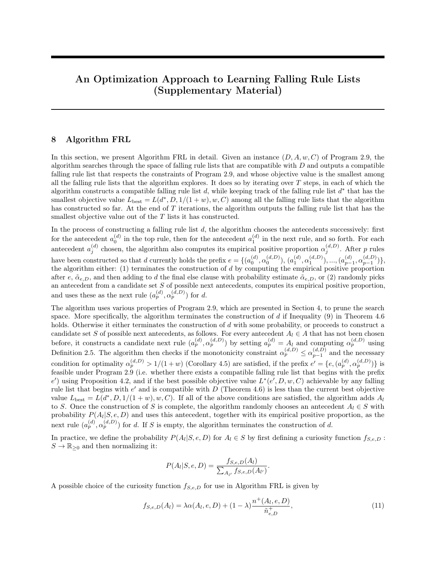approach with 6000 iterations (see Figure [6d\)](#page-37-0). However, in general, our approach tends to find a falling rule list with a smaller weighted training loss faster, due to aggressive pruning of the search space.

<span id="page-35-0"></span>

Figure 4: Plots of the weighted training loss over real runtime for the Bayesian approach and our optimization approach (Algorithm FRL): first additional run

It is worth pointing out that both the Bayesian approach and our optimization approach produce similar falling rule lists. Table [19](#page-36-0) shows a falling rule list for the bank-full dataset, obtained in a particular run of the Bayesian approach with 6000 iterations. Table [20](#page-37-1) shows a falling rule list for the same dataset, obtained in a particular run of Algorithm FRL with 3000 iterations and the positive class weight  $w = 7$ . As we can see, the top four rules in both falling rule lists are identical. Tables [21](#page-39-0) and [22](#page-39-1) show another pair of falling rule lists obtained using both approaches in different runs, and in this case, both approaches have identified some common rules for a high chance of marketing success. This means that both the Bayesian approach and our optimization approach tend to identify similar conditions that are significant, but our approach has the added advantage of faster training convergence over the Bayesian approach in general.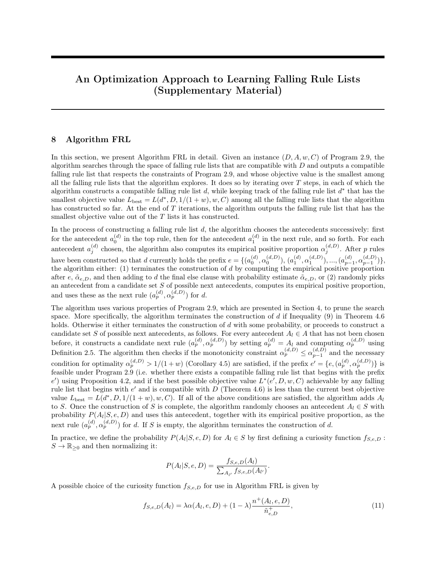

Figure 5: Plots of the weighted training loss over real runtime for the Bayesian approach and our optimization approach (Algorithm FRL): second additional run

<span id="page-36-0"></span>

|                | antecedent                       |                       | probability | positive | negative |
|----------------|----------------------------------|-----------------------|-------------|----------|----------|
|                |                                  |                       |             | support  | support  |
| ΙF             | poutcome=success                 | THEN success prob. is | 0.65        | 978      | 531      |
|                | AND default=no                   |                       |             |          |          |
| <b>ELSE IF</b> | $60 \leq age < 100$              | THEN success prob. is | 0.29        | 426      | 1030     |
|                | AND $\lambda$                    |                       |             |          |          |
| <b>ELSE IF</b> | $17 \leq age < 30$               | THEN success prob. is | 0.25        | 504      | 1539     |
|                | $AND$ housing=no                 |                       |             |          |          |
| <b>ELSE IF</b> | $campaigen=1$                    | THEN success prob. is | 0.15        | 787      | 4471     |
|                | $AND$ housing=no                 |                       |             |          |          |
| <b>ELSE IF</b> | education=tertiary               | THEN success prob. is | 0.12        | 460      | 3313     |
|                | $AND$ housing=no                 |                       |             |          |          |
| <b>ELSE IF</b> | $\text{marital} = \text{single}$ | THEN success prob. is | 0.11        | 550      | 4331     |
|                | $AND contact=cellular$           |                       |             |          |          |
|                |                                  |                       |             |          |          |
| <b>ELSE IF</b> | $contact = cellular$             | THEN success prob. is | 0.08        | 1080     | 12709    |
| <b>ELSE</b>    |                                  | success prob. is      | 0.04        | 504      | 11998    |

Table 19: Falling rule list for bank-full dataset, trained using the Bayesian approach with 6000 iterations.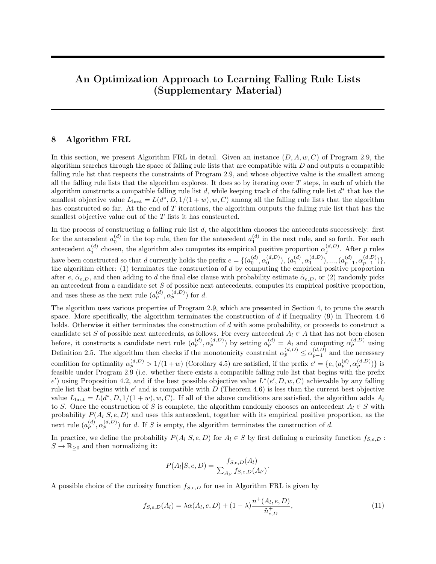<span id="page-37-0"></span>

Figure 6: Plots of the weighted training loss over real runtime for the Bayesian approach and our optimization approach (Algorithm FRL): third additional run

<span id="page-37-1"></span>

|                | antecedent                |                              | probability | positive | negative |
|----------------|---------------------------|------------------------------|-------------|----------|----------|
|                |                           |                              |             | support  | support  |
| ΙF             | poutcome=success          | THEN success prob. is $0.65$ |             | 978      | 531      |
|                | AND default=no            |                              |             |          |          |
| <b>ELSE IF</b> | $60 < \text{age} < 100$   | THEN success prob. is $0.29$ |             | 426      | 1030     |
|                | AND $\lambda$             |                              |             |          |          |
| <b>ELSE IF</b> | $17 \leq \text{age} < 30$ | THEN success prob. is        | 0.25        | 504      | 1539     |
|                | $AND$ housing=no          |                              |             |          |          |
| <b>ELSE IF</b> | $campaigen=1$             | THEN success prob. is $0.15$ |             | 787      | 4471     |
|                | $AND$ housing=no          |                              |             |          |          |
| <b>ELSE</b>    |                           | success prob. is             | 0.07        | 2594     | 32351    |

Table 20: Falling rule list for bank-full dataset, trained using the optimization approach (Algorithm FRL) with 3000 iterations and the positive class weight  $w = 7$ .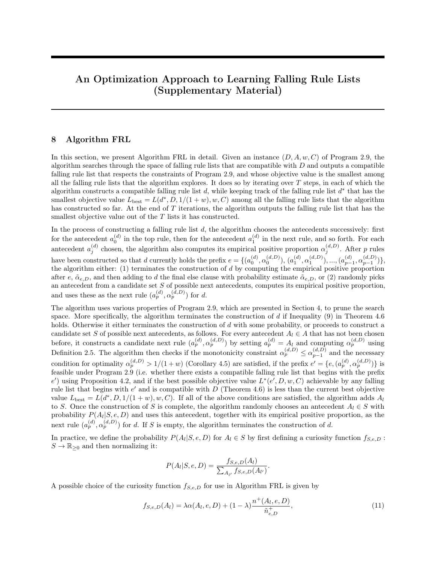<span id="page-38-0"></span>

Figure 7: Plots of the weighted training loss over real runtime for the Bayesian approach and our optimization approach (Algorithm FRL): fourth additional run